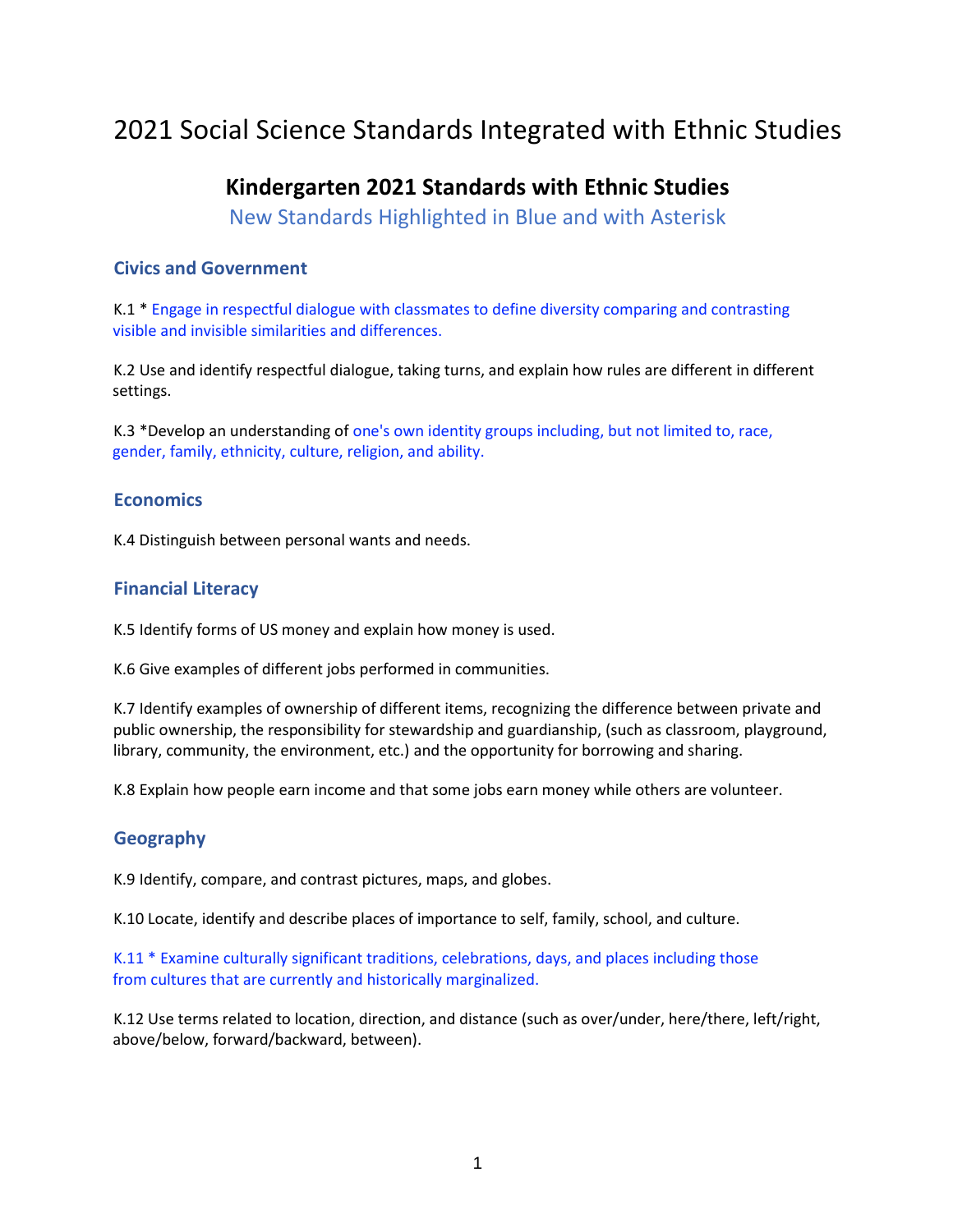# 2021 Social Science Standards Integrated with Ethnic Studies

## **Kindergarten 2021 Standards with Ethnic Studies**

New Standards Highlighted in Blue and with Asterisk

#### **Civics and Government**

K.1 \* Engage in respectful dialogue with classmates to define diversity comparing and contrasting visible and invisible similarities and differences.

K.2 Use and identify respectful dialogue, taking turns, and explain how rules are different in different settings.

K.3 \*Develop an understanding of one's own identity groups including, but not limited to, race, gender, family, ethnicity, culture, religion, and ability.

#### **Economics**

K.4 Distinguish between personal wants and needs.

#### **Financial Literacy**

K.5 Identify forms of US money and explain how money is used.

K.6 Give examples of different jobs performed in communities.

K.7 Identify examples of ownership of different items, recognizing the difference between private and public ownership, the responsibility for stewardship and guardianship, (such as classroom, playground, library, community, the environment, etc.) and the opportunity for borrowing and sharing.

K.8 Explain how people earn income and that some jobs earn money while others are volunteer.

### **Geography**

K.9 Identify, compare, and contrast pictures, maps, and globes.

K.10 Locate, identify and describe places of importance to self, family, school, and culture.

K.11 \* Examine culturally significant traditions, celebrations, days, and places including those from cultures that are currently and historically marginalized.

K.12 Use terms related to location, direction, and distance (such as over/under, here/there, left/right, above/below, forward/backward, between).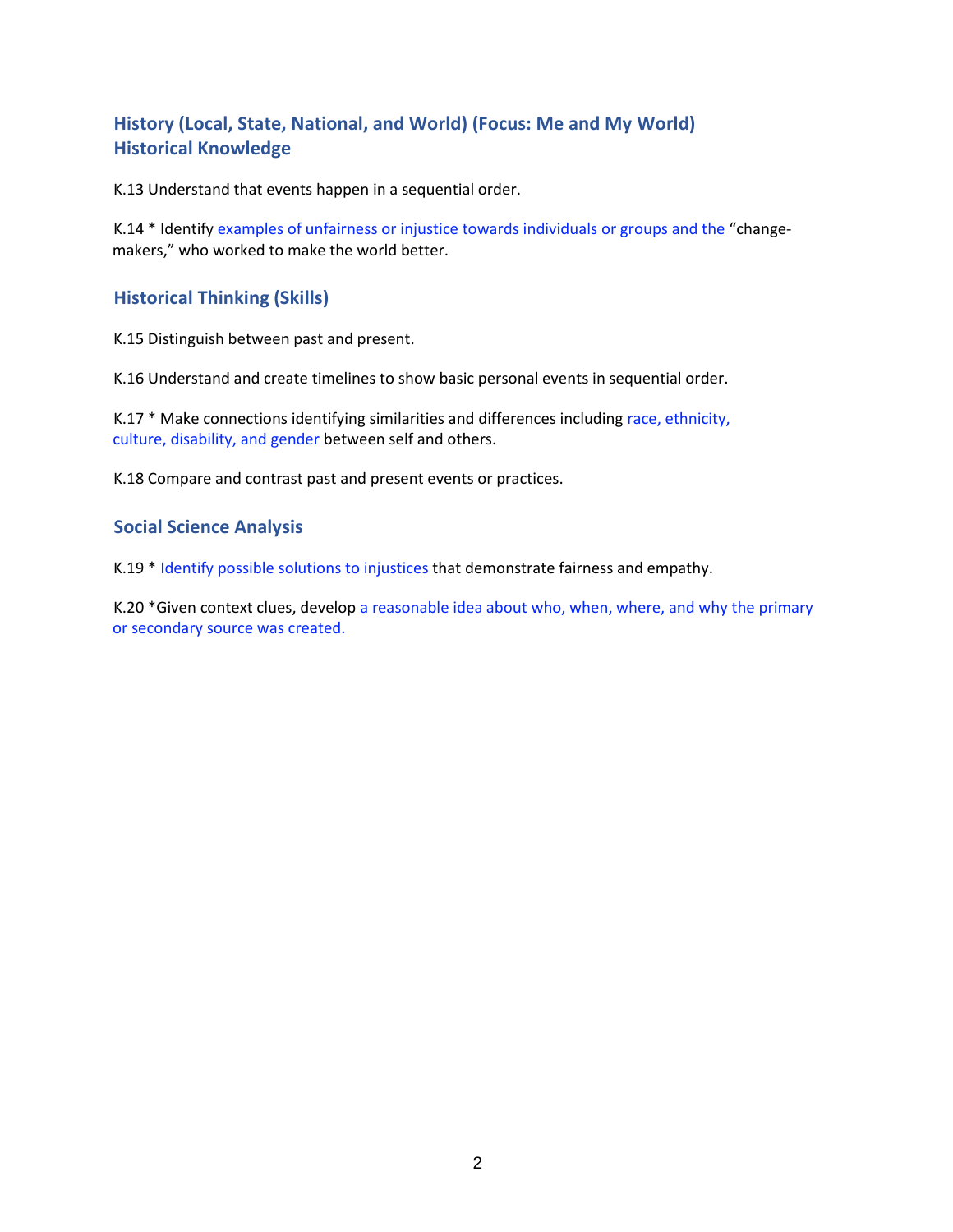## **History (Local, State, National, and World) (Focus: Me and My World) Historical Knowledge**

K.13 Understand that events happen in a sequential order.

K.14 \* Identify examples of unfairness or injustice towards individuals or groups and the "changemakers," who worked to make the world better.

#### **Historical Thinking (Skills)**

K.15 Distinguish between past and present.

K.16 Understand and create timelines to show basic personal events in sequential order.

K.17 \* Make connections identifying similarities and differences including race, ethnicity, culture, disability, and gender between self and others.

K.18 Compare and contrast past and present events or practices.

#### **Social Science Analysis**

K.19 \* Identify possible solutions to injustices that demonstrate fairness and empathy.

K.20 \*Given context clues, develop a reasonable idea about who, when, where, and why the primary or secondary source was created.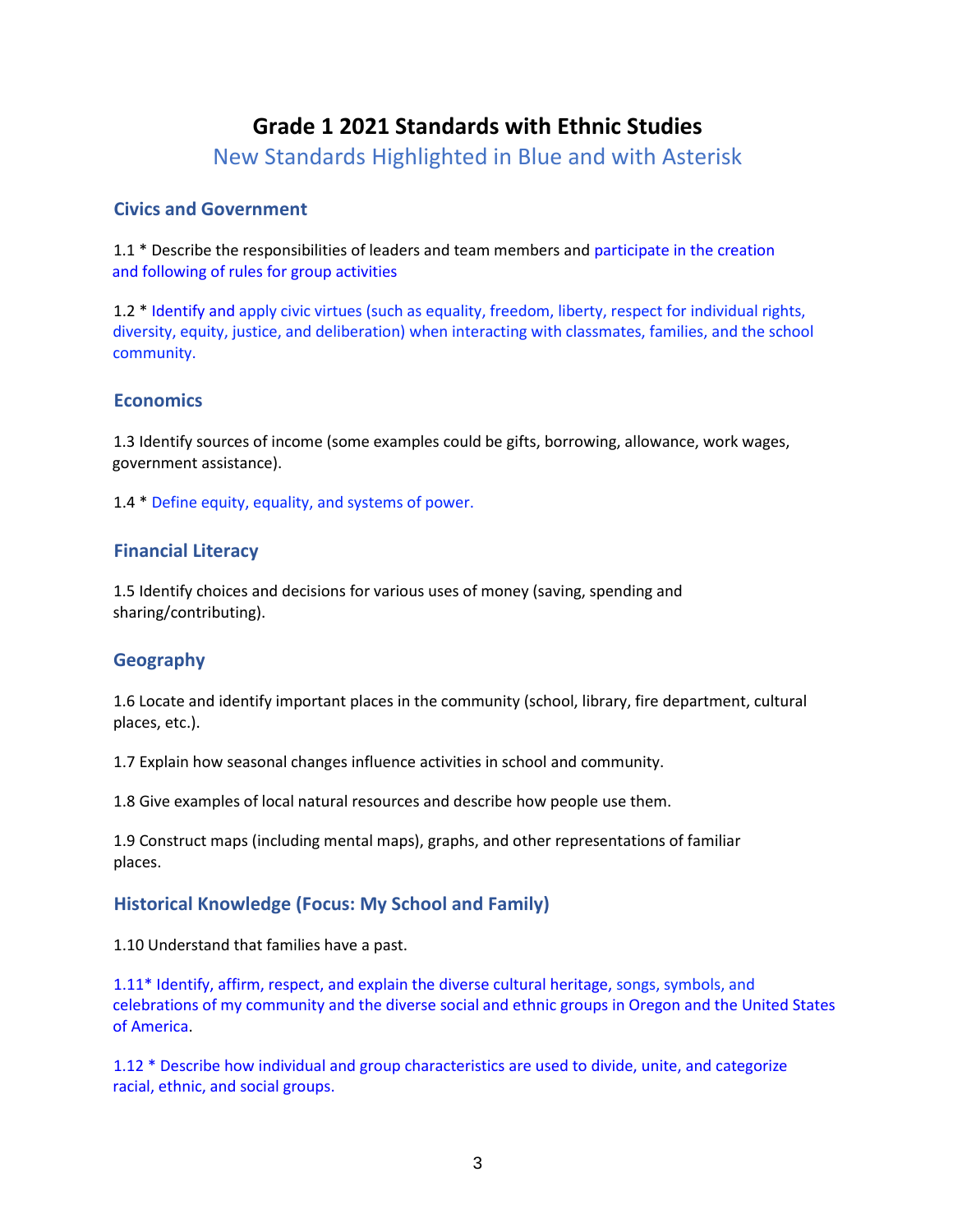## **Grade 1 2021 Standards with Ethnic Studies**

New Standards Highlighted in Blue and with Asterisk

#### **Civics and Government**

1.1 \* Describe the responsibilities of leaders and team members and participate in the creation and following of rules for group activities

1.2 \* Identify and apply civic virtues (such as equality, freedom, liberty, respect for individual rights, diversity, equity, justice, and deliberation) when interacting with classmates, families, and the school community.

### **Economics**

1.3 Identify sources of income (some examples could be gifts, borrowing, allowance, work wages, government assistance).

1.4 \* Define equity, equality, and systems of power.

### **Financial Literacy**

1.5 Identify choices and decisions for various uses of money (saving, spending and sharing/contributing).

### **Geography**

1.6 Locate and identify important places in the community (school, library, fire department, cultural places, etc.).

1.7 Explain how seasonal changes influence activities in school and community.

1.8 Give examples of local natural resources and describe how people use them.

1.9 Construct maps (including mental maps), graphs, and other representations of familiar places.

#### **Historical Knowledge (Focus: My School and Family)**

1.10 Understand that families have a past.

1.11\* Identify, affirm, respect, and explain the diverse cultural heritage, songs, symbols, and celebrations of my community and the diverse social and ethnic groups in Oregon and the United States of America.

1.12 \* Describe how individual and group characteristics are used to divide, unite, and categorize racial, ethnic, and social groups.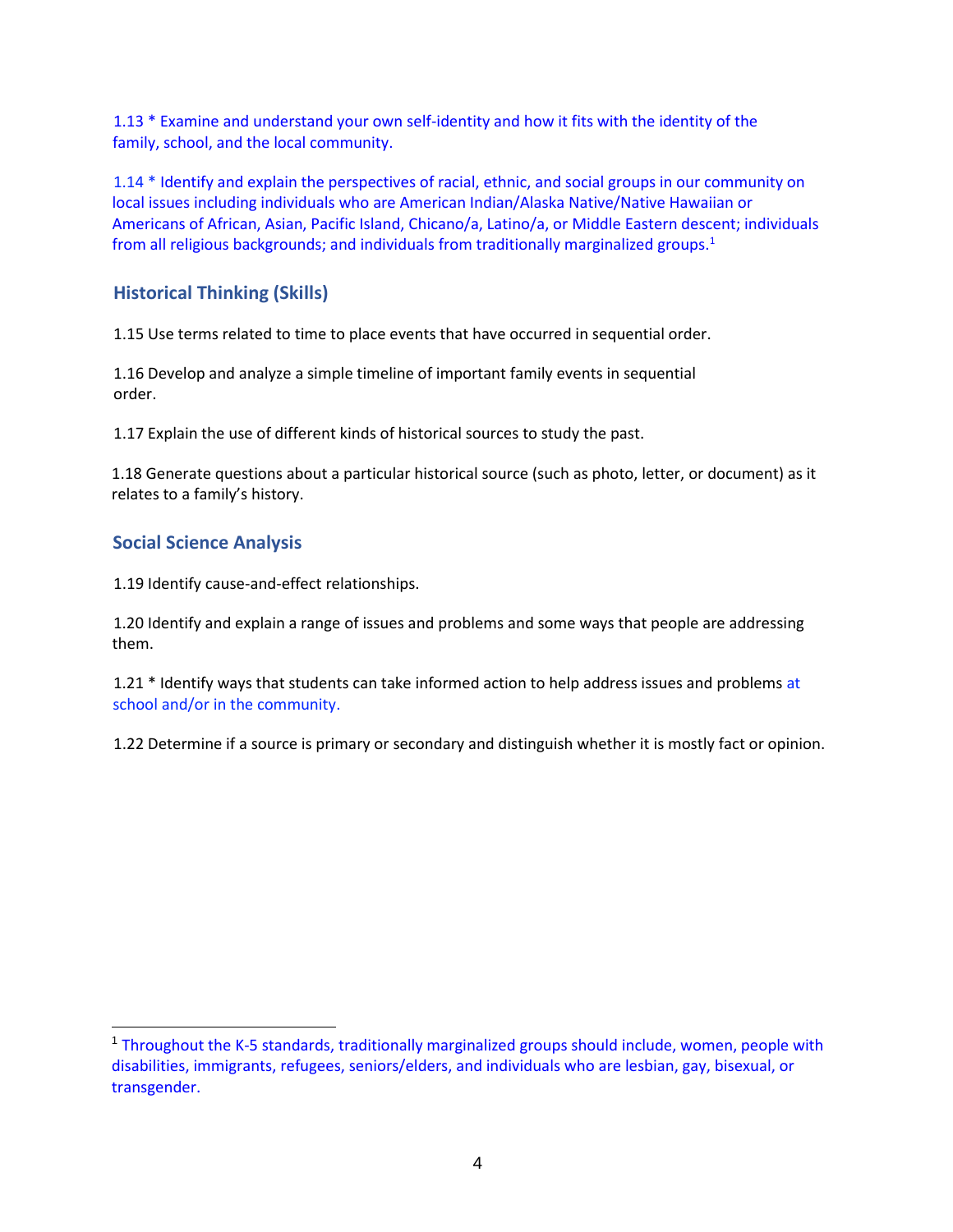1.13 \* Examine and understand your own self-identity and how it fits with the identity of the family, school, and the local community.

1.14 \* Identify and explain the perspectives of racial, ethnic, and social groups in our community on local issues including individuals who are American Indian/Alaska Native/Native Hawaiian or Americans of African, Asian, Pacific Island, Chicano/a, Latino/a, or Middle Eastern descent; individuals from all religious backgrounds; and individuals from traditionally marginalized groups.<sup>1</sup>

#### **Historical Thinking (Skills)**

1.15 Use terms related to time to place events that have occurred in sequential order.

1.16 Develop and analyze a simple timeline of important family events in sequential order.

1.17 Explain the use of different kinds of historical sources to study the past.

1.18 Generate questions about a particular historical source (such as photo, letter, or document) as it relates to a family's history.

#### **Social Science Analysis**

1.19 Identify cause-and-effect relationships.

1.20 Identify and explain a range of issues and problems and some ways that people are addressing them.

1.21 \* Identify ways that students can take informed action to help address issues and problems at school and/or in the community.

1.22 Determine if a source is primary or secondary and distinguish whether it is mostly fact or opinion.

<sup>1</sup> Throughout the K-5 standards, traditionally marginalized groups should include, women, people with disabilities, immigrants, refugees, seniors/elders, and individuals who are lesbian, gay, bisexual, or transgender.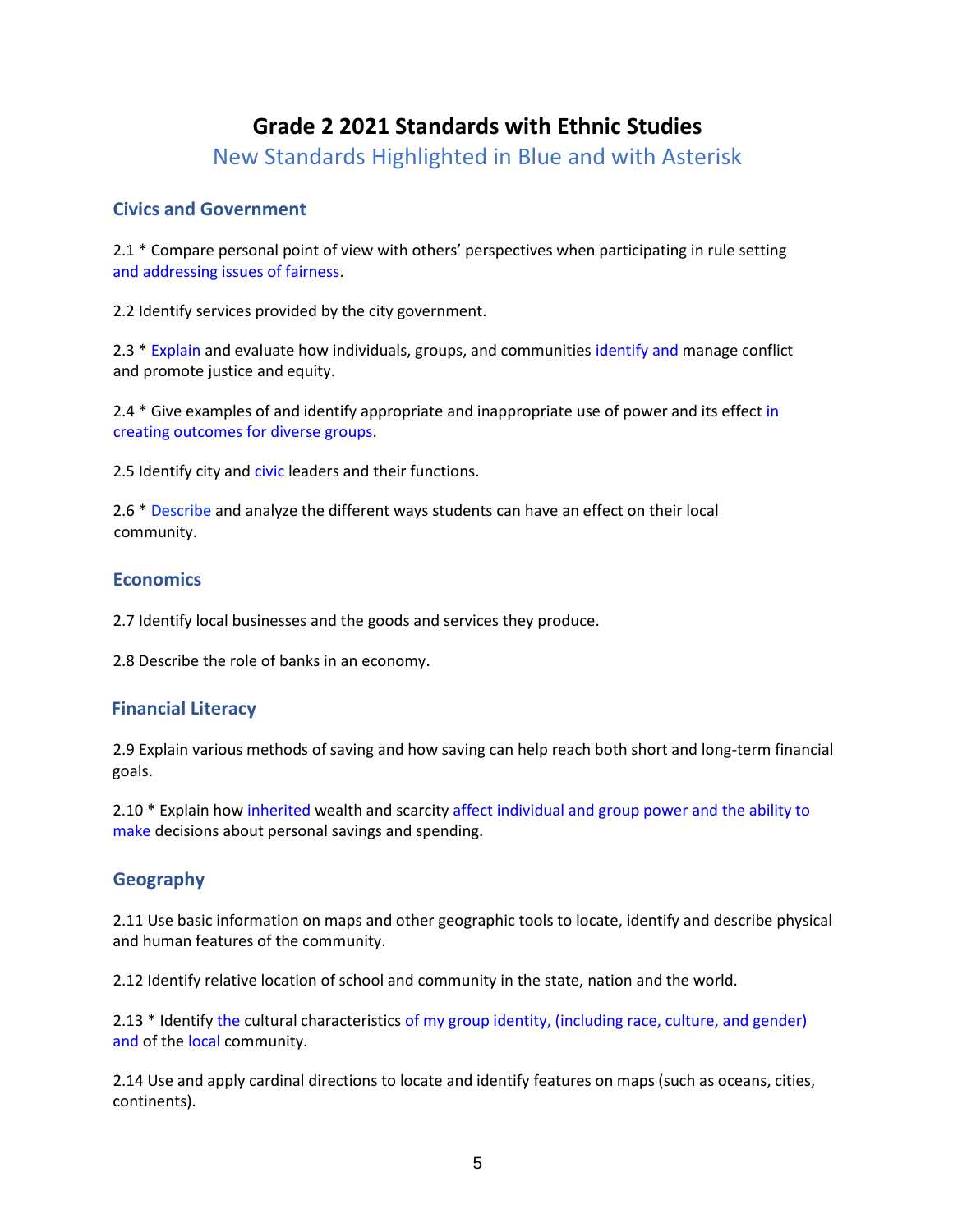## **Grade 2 2021 Standards with Ethnic Studies**

New Standards Highlighted in Blue and with Asterisk

#### **Civics and Government**

2.1 \* Compare personal point of view with others' perspectives when participating in rule setting and addressing issues of fairness.

2.2 Identify services provided by the city government.

2.3 \* Explain and evaluate how individuals, groups, and communities identify and manage conflict and promote justice and equity.

2.4 \* Give examples of and identify appropriate and inappropriate use of power and its effect in creating outcomes for diverse groups.

2.5 Identify city and civic leaders and their functions.

2.6 \* Describe and analyze the different ways students can have an effect on their local community.

#### **Economics**

2.7 Identify local businesses and the goods and services they produce.

2.8 Describe the role of banks in an economy.

#### **Financial Literacy**

2.9 Explain various methods of saving and how saving can help reach both short and long-term financial goals.

2.10 \* Explain how inherited wealth and scarcity affect individual and group power and the ability to make decisions about personal savings and spending.

#### **Geography**

2.11 Use basic information on maps and other geographic tools to locate, identify and describe physical and human features of the community.

2.12 Identify relative location of school and community in the state, nation and the world.

2.13 \* Identify the cultural characteristics of my group identity, (including race, culture, and gender) and of the local community.

2.14 Use and apply cardinal directions to locate and identify features on maps (such as oceans, cities, continents).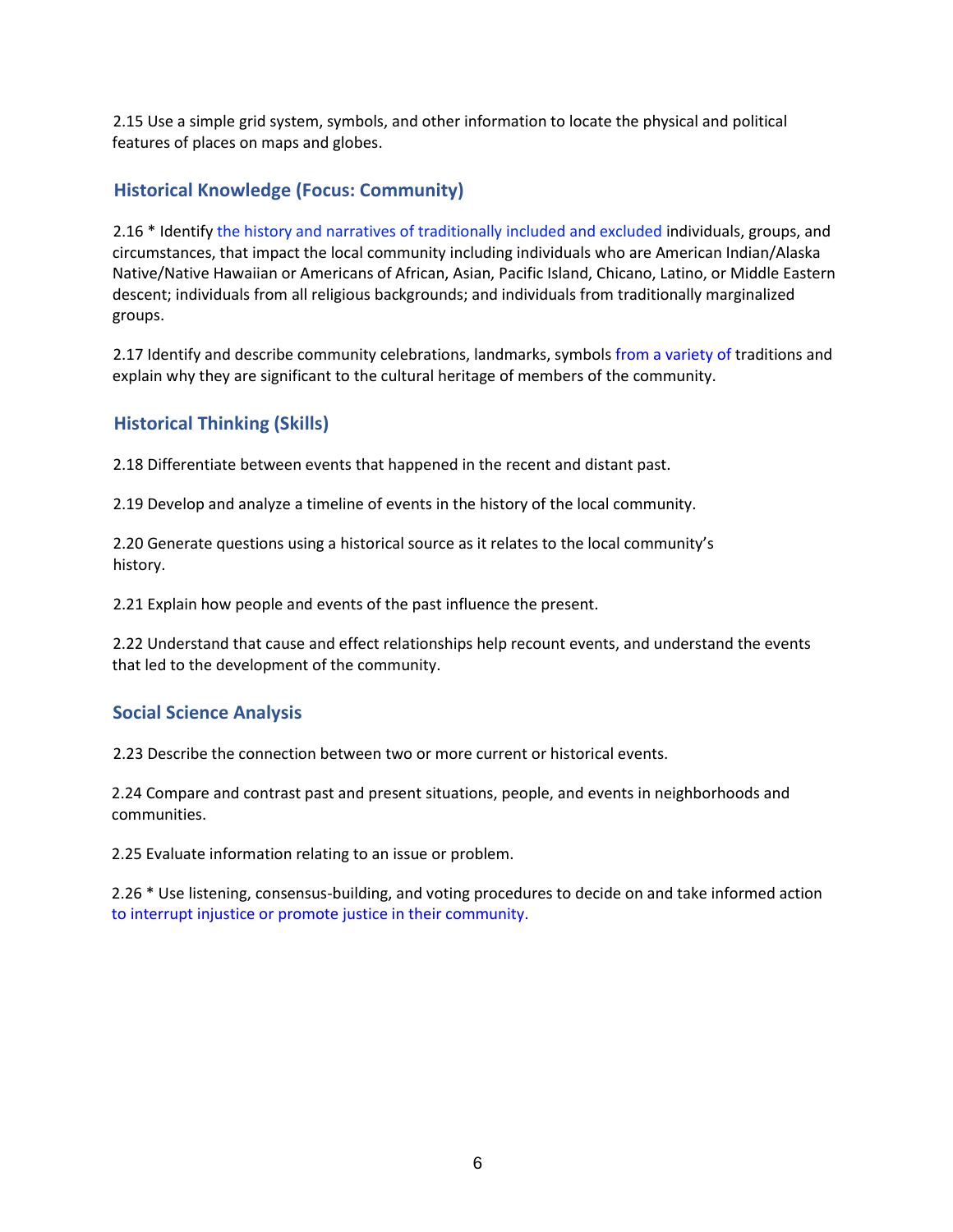2.15 Use a simple grid system, symbols, and other information to locate the physical and political features of places on maps and globes.

#### **Historical Knowledge (Focus: Community)**

2.16 \* Identify the history and narratives of traditionally included and excluded individuals, groups, and circumstances, that impact the local community including individuals who are American Indian/Alaska Native/Native Hawaiian or Americans of African, Asian, Pacific Island, Chicano, Latino, or Middle Eastern descent; individuals from all religious backgrounds; and individuals from traditionally marginalized groups.

2.17 Identify and describe community celebrations, landmarks, symbols from a variety of traditions and explain why they are significant to the cultural heritage of members of the community.

#### **Historical Thinking (Skills)**

2.18 Differentiate between events that happened in the recent and distant past.

2.19 Develop and analyze a timeline of events in the history of the local community.

2.20 Generate questions using a historical source as it relates to the local community's history.

2.21 Explain how people and events of the past influence the present.

2.22 Understand that cause and effect relationships help recount events, and understand the events that led to the development of the community.

#### **Social Science Analysis**

2.23 Describe the connection between two or more current or historical events.

2.24 Compare and contrast past and present situations, people, and events in neighborhoods and communities.

2.25 Evaluate information relating to an issue or problem.

2.26 \* Use listening, consensus-building, and voting procedures to decide on and take informed action to interrupt injustice or promote justice in their community.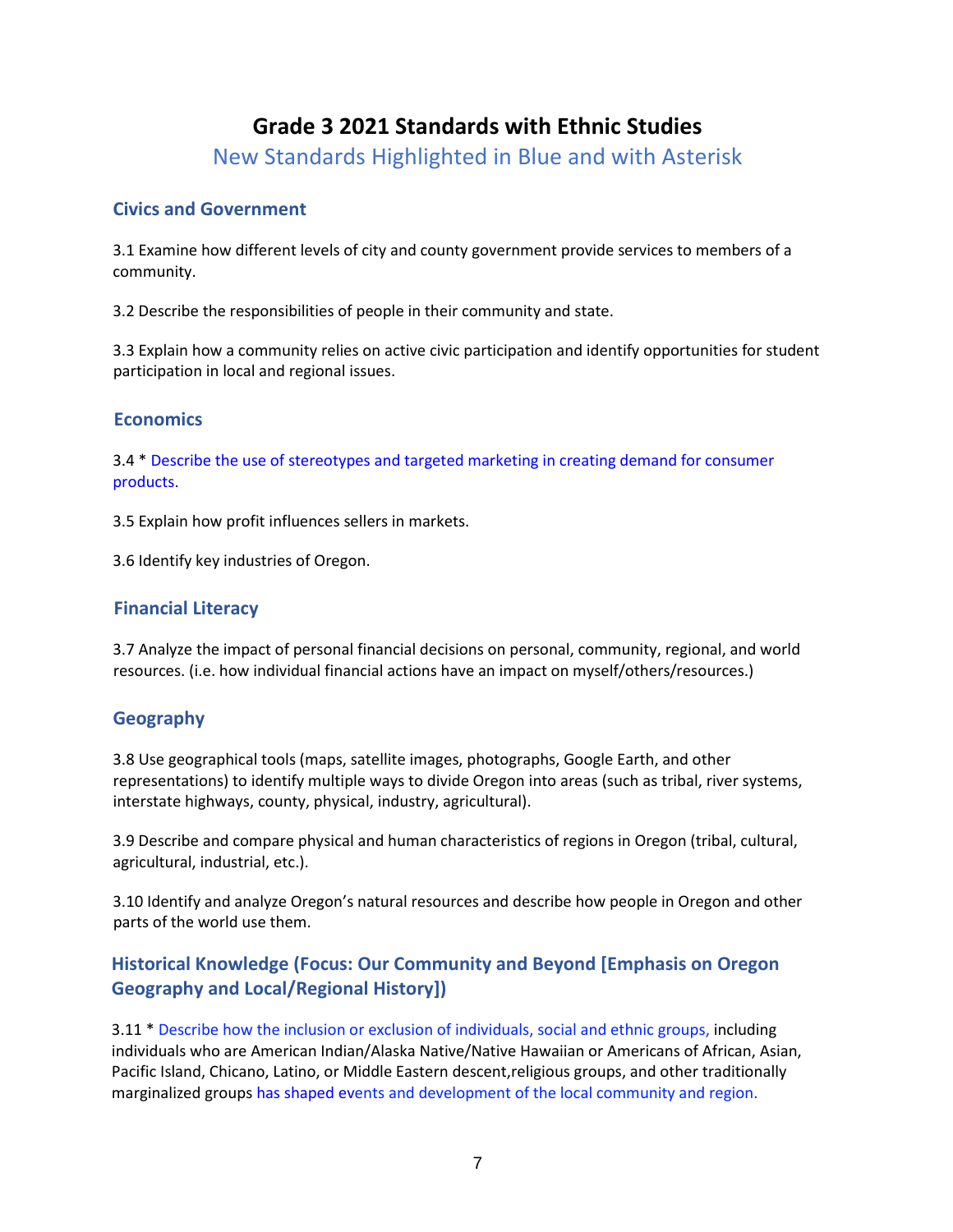## **Grade 3 2021 Standards with Ethnic Studies**

New Standards Highlighted in Blue and with Asterisk

#### **Civics and Government**

3.1 Examine how different levels of city and county government provide services to members of a community.

3.2 Describe the responsibilities of people in their community and state.

3.3 Explain how a community relies on active civic participation and identify opportunities for student participation in local and regional issues.

### **Economics**

3.4 \* Describe the use of stereotypes and targeted marketing in creating demand for consumer products.

3.5 Explain how profit influences sellers in markets.

3.6 Identify key industries of Oregon.

## **Financial Literacy**

3.7 Analyze the impact of personal financial decisions on personal, community, regional, and world resources. (i.e. how individual financial actions have an impact on myself/others/resources.)

### **Geography**

3.8 Use geographical tools (maps, satellite images, photographs, Google Earth, and other representations) to identify multiple ways to divide Oregon into areas (such as tribal, river systems, interstate highways, county, physical, industry, agricultural).

3.9 Describe and compare physical and human characteristics of regions in Oregon (tribal, cultural, agricultural, industrial, etc.).

3.10 Identify and analyze Oregon's natural resources and describe how people in Oregon and other parts of the world use them.

## **Historical Knowledge (Focus: Our Community and Beyond [Emphasis on Oregon Geography and Local/Regional History])**

3.11 \* Describe how the inclusion or exclusion of individuals, social and ethnic groups, including individuals who are American Indian/Alaska Native/Native Hawaiian or Americans of African, Asian, Pacific Island, Chicano, Latino, or Middle Eastern descent,religious groups, and other traditionally marginalized groups has shaped events and development of the local community and region.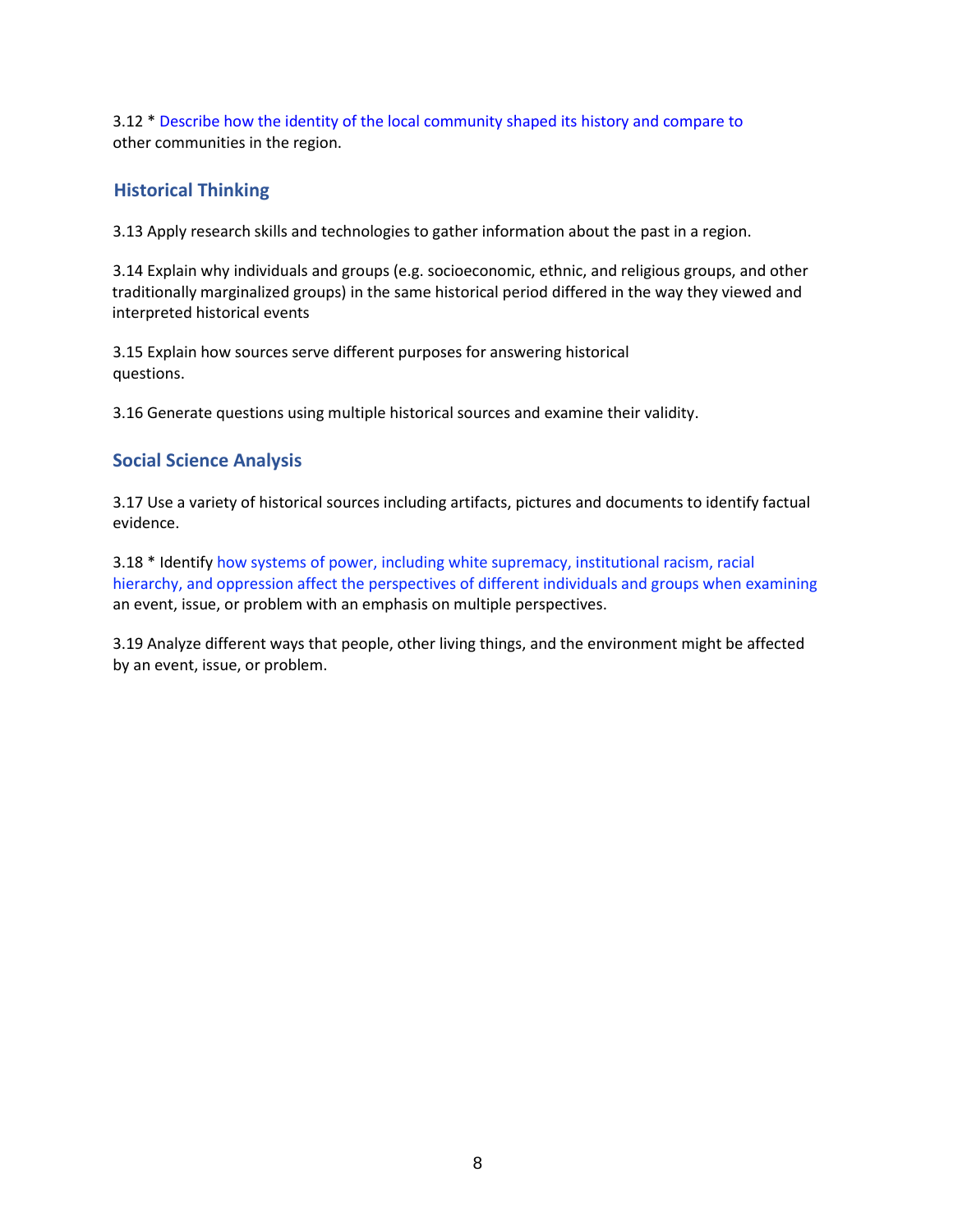3.12 \* Describe how the identity of the local community shaped its history and compare to other communities in the region.

#### **Historical Thinking**

3.13 Apply research skills and technologies to gather information about the past in a region.

3.14 Explain why individuals and groups (e.g. socioeconomic, ethnic, and religious groups, and other traditionally marginalized groups) in the same historical period differed in the way they viewed and interpreted historical events

3.15 Explain how sources serve different purposes for answering historical questions.

3.16 Generate questions using multiple historical sources and examine their validity.

#### **Social Science Analysis**

3.17 Use a variety of historical sources including artifacts, pictures and documents to identify factual evidence.

3.18 \* Identify how systems of power, including white supremacy, institutional racism, racial hierarchy, and oppression affect the perspectives of different individuals and groups when examining an event, issue, or problem with an emphasis on multiple perspectives.

3.19 Analyze different ways that people, other living things, and the environment might be affected by an event, issue, or problem.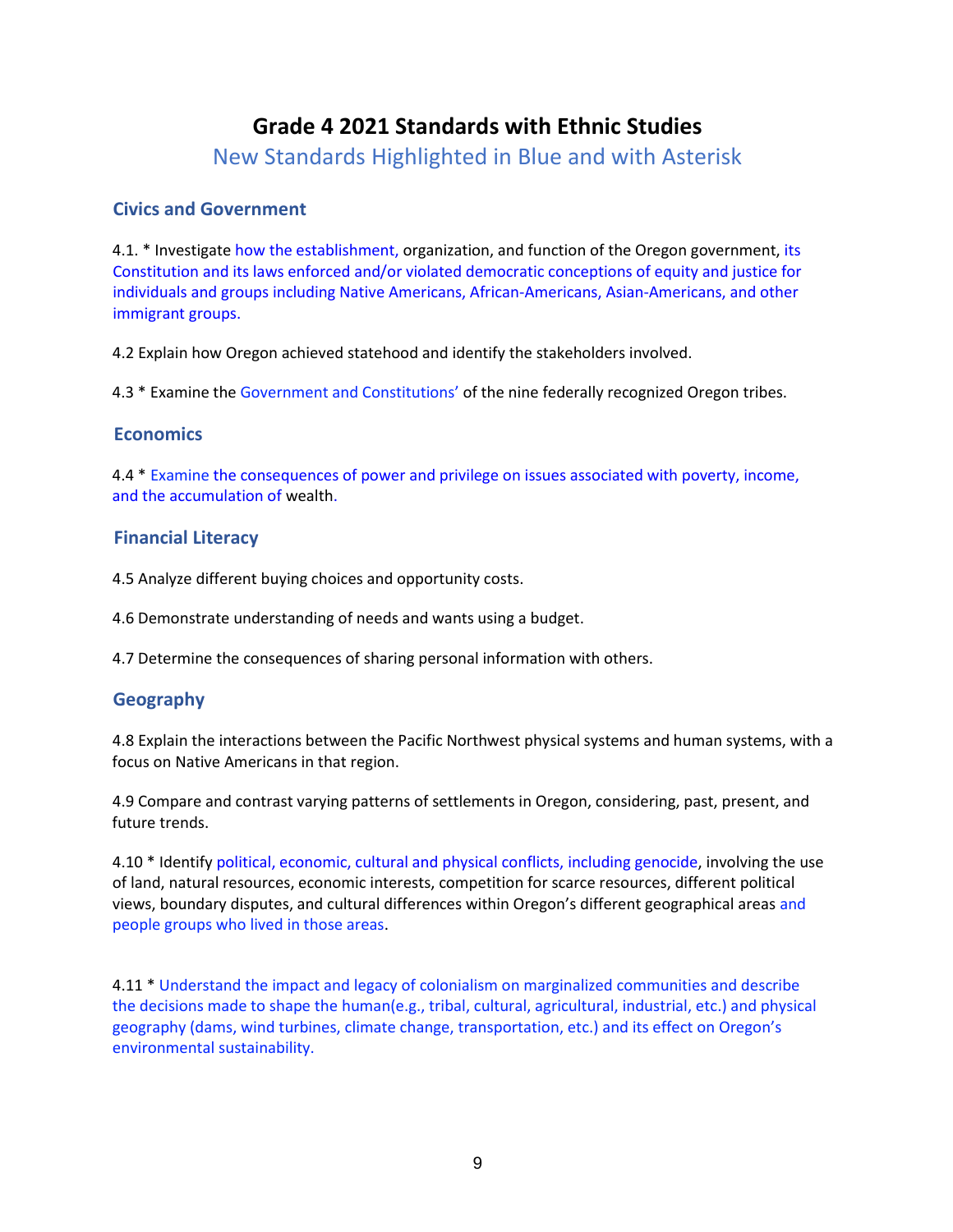## **Grade 4 2021 Standards with Ethnic Studies**

New Standards Highlighted in Blue and with Asterisk

#### **Civics and Government**

4.1. \* Investigate how the establishment, organization, and function of the Oregon government, its Constitution and its laws enforced and/or violated democratic conceptions of equity and justice for individuals and groups including Native Americans, African-Americans, Asian-Americans, and other immigrant groups.

4.2 Explain how Oregon achieved statehood and identify the stakeholders involved.

4.3 \* Examine the Government and Constitutions' of the nine federally recognized Oregon tribes.

#### **Economics**

4.4 \* Examine the consequences of power and privilege on issues associated with poverty, income, and the accumulation of wealth.

#### **Financial Literacy**

4.5 Analyze different buying choices and opportunity costs.

4.6 Demonstrate understanding of needs and wants using a budget.

4.7 Determine the consequences of sharing personal information with others.

#### **Geography**

4.8 Explain the interactions between the Pacific Northwest physical systems and human systems, with a focus on Native Americans in that region.

4.9 Compare and contrast varying patterns of settlements in Oregon, considering, past, present, and future trends.

4.10 \* Identify political, economic, cultural and physical conflicts, including genocide, involving the use of land, natural resources, economic interests, competition for scarce resources, different political views, boundary disputes, and cultural differences within Oregon's different geographical areas and people groups who lived in those areas.

4.11 \* Understand the impact and legacy of colonialism on marginalized communities and describe the decisions made to shape the human(e.g., tribal, cultural, agricultural, industrial, etc.) and physical geography (dams, wind turbines, climate change, transportation, etc.) and its effect on Oregon's environmental sustainability.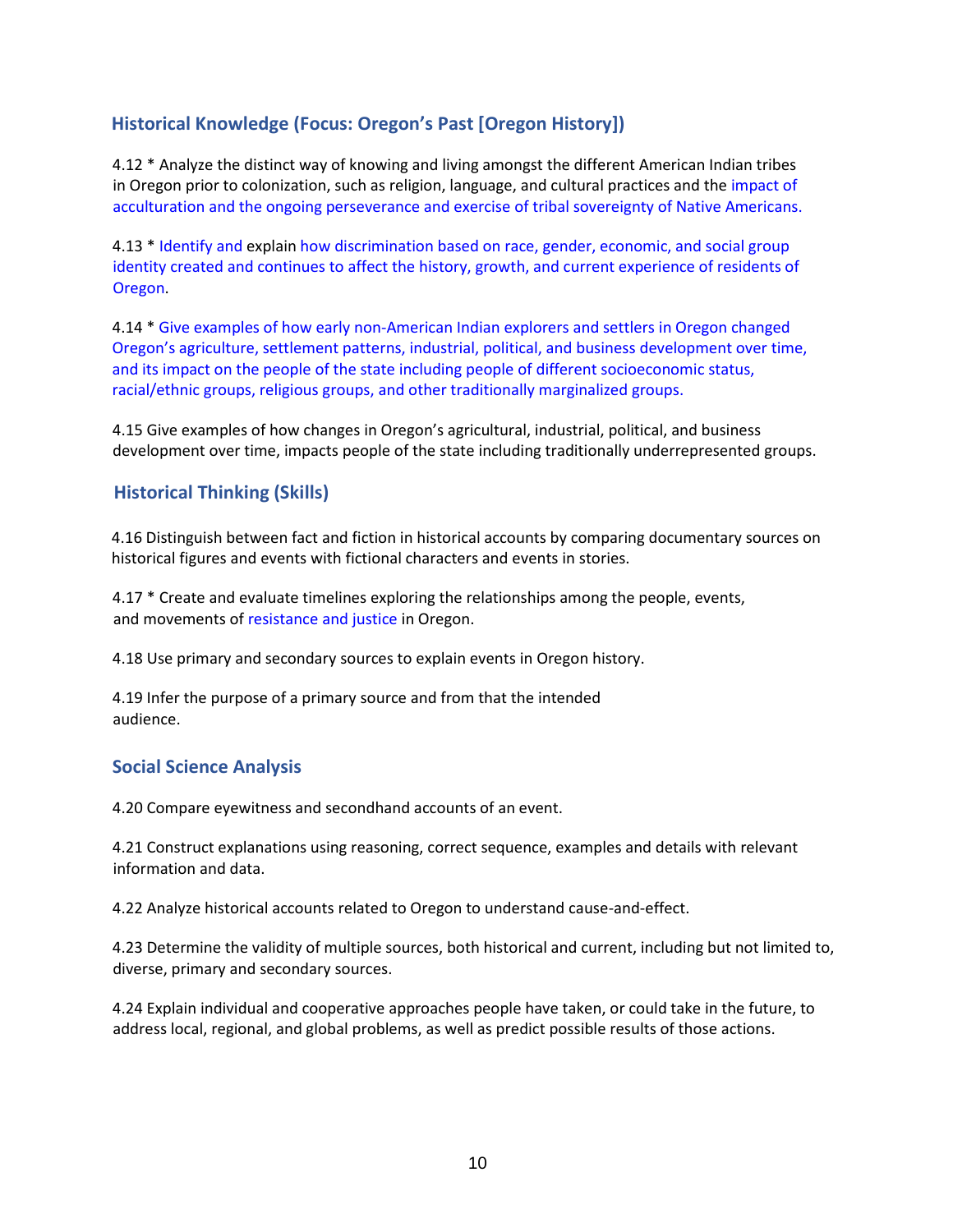### **Historical Knowledge (Focus: Oregon's Past [Oregon History])**

4.12 \* Analyze the distinct way of knowing and living amongst the different American Indian tribes in Oregon prior to colonization, such as religion, language, and cultural practices and the impact of acculturation and the ongoing perseverance and exercise of tribal sovereignty of Native Americans.

4.13 \* Identify and explain how discrimination based on race, gender, economic, and social group identity created and continues to affect the history, growth, and current experience of residents of Oregon.

4.14 \* Give examples of how early non-American Indian explorers and settlers in Oregon changed Oregon's agriculture, settlement patterns, industrial, political, and business development over time, and its impact on the people of the state including people of different socioeconomic status, racial/ethnic groups, religious groups, and other traditionally marginalized groups.

4.15 Give examples of how changes in Oregon's agricultural, industrial, political, and business development over time, impacts people of the state including traditionally underrepresented groups.

#### **Historical Thinking (Skills)**

4.16 Distinguish between fact and fiction in historical accounts by comparing documentary sources on historical figures and events with fictional characters and events in stories.

4.17 \* Create and evaluate timelines exploring the relationships among the people, events, and movements of resistance and justice in Oregon.

4.18 Use primary and secondary sources to explain events in Oregon history.

4.19 Infer the purpose of a primary source and from that the intended audience.

#### **Social Science Analysis**

4.20 Compare eyewitness and secondhand accounts of an event.

4.21 Construct explanations using reasoning, correct sequence, examples and details with relevant information and data.

4.22 Analyze historical accounts related to Oregon to understand cause-and-effect.

4.23 Determine the validity of multiple sources, both historical and current, including but not limited to, diverse, primary and secondary sources.

4.24 Explain individual and cooperative approaches people have taken, or could take in the future, to address local, regional, and global problems, as well as predict possible results of those actions.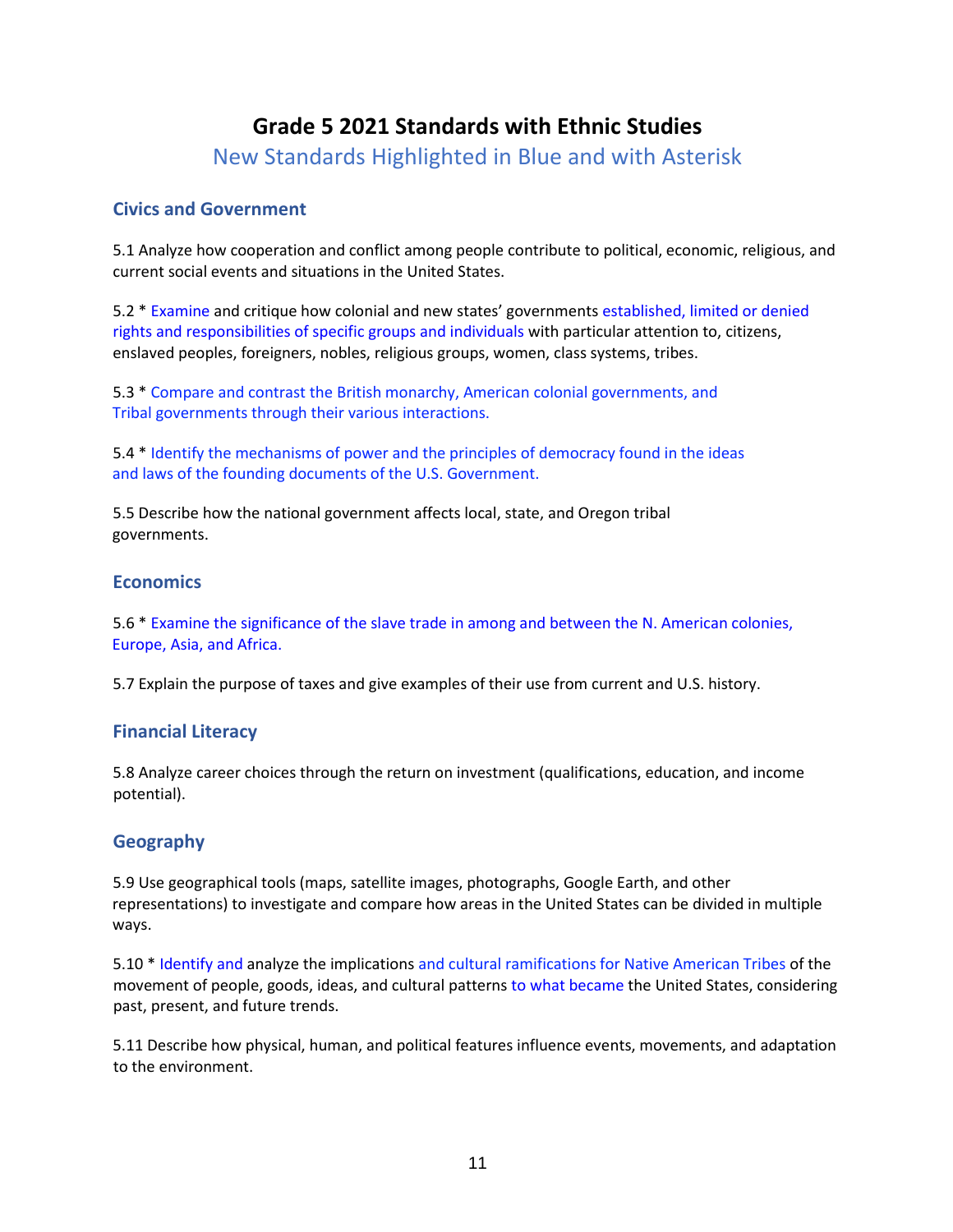# **Grade 5 2021 Standards with Ethnic Studies**

New Standards Highlighted in Blue and with Asterisk

#### **Civics and Government**

5.1 Analyze how cooperation and conflict among people contribute to political, economic, religious, and current social events and situations in the United States.

5.2 \* Examine and critique how colonial and new states' governments established, limited or denied rights and responsibilities of specific groups and individuals with particular attention to, citizens, enslaved peoples, foreigners, nobles, religious groups, women, class systems, tribes.

5.3 \* Compare and contrast the British monarchy, American colonial governments, and Tribal governments through their various interactions.

5.4 \* Identify the mechanisms of power and the principles of democracy found in the ideas and laws of the founding documents of the U.S. Government.

5.5 Describe how the national government affects local, state, and Oregon tribal governments.

#### **Economics**

5.6 \* Examine the significance of the slave trade in among and between the N. American colonies, Europe, Asia, and Africa.

5.7 Explain the purpose of taxes and give examples of their use from current and U.S. history.

#### **Financial Literacy**

5.8 Analyze career choices through the return on investment (qualifications, education, and income potential).

#### **Geography**

5.9 Use geographical tools (maps, satellite images, photographs, Google Earth, and other representations) to investigate and compare how areas in the United States can be divided in multiple ways.

5.10 \* Identify and analyze the implications and cultural ramifications for Native American Tribes of the movement of people, goods, ideas, and cultural patterns to what became the United States, considering past, present, and future trends.

5.11 Describe how physical, human, and political features influence events, movements, and adaptation to the environment.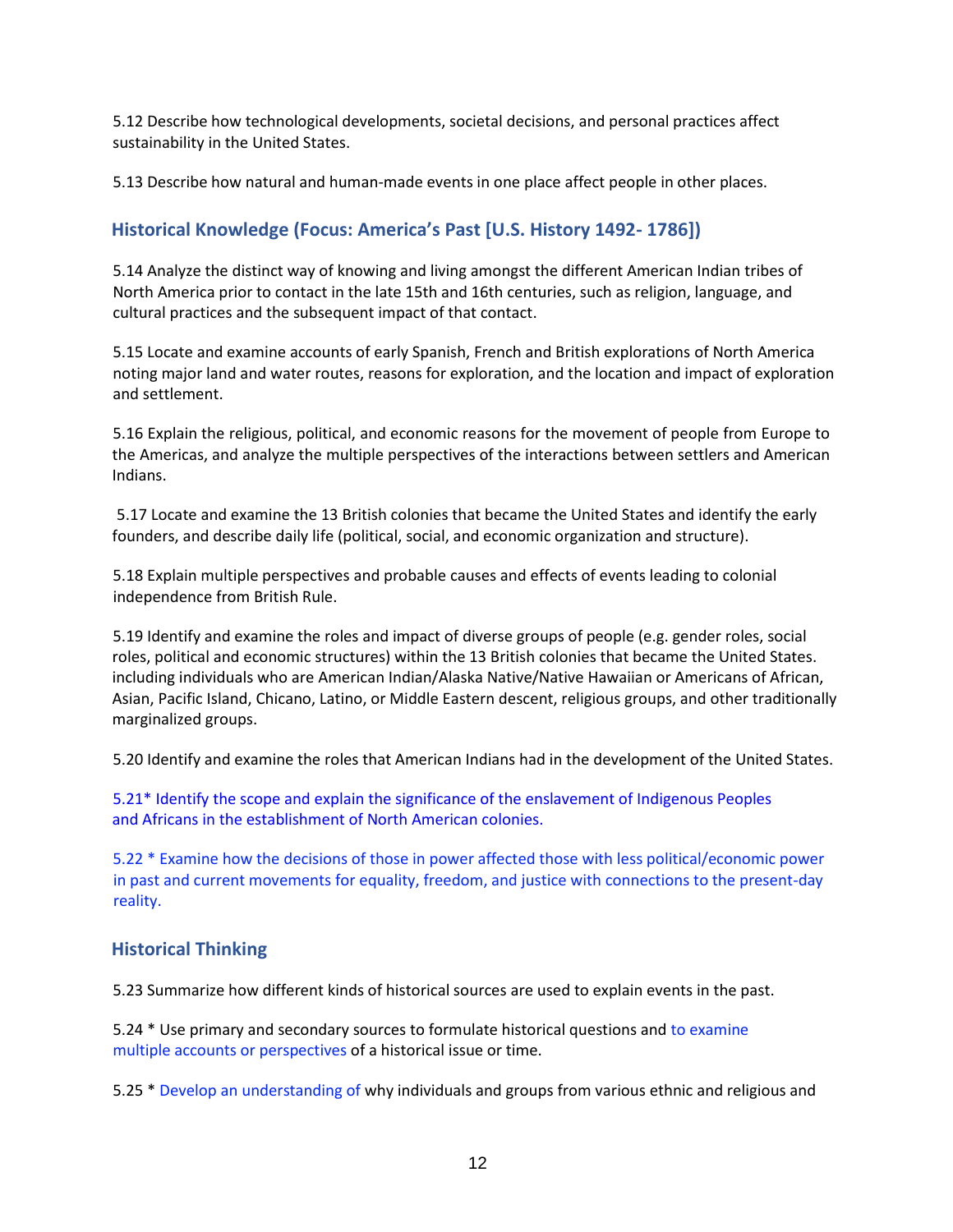5.12 Describe how technological developments, societal decisions, and personal practices affect sustainability in the United States.

5.13 Describe how natural and human-made events in one place affect people in other places.

#### **Historical Knowledge (Focus: America's Past [U.S. History 1492- 1786])**

5.14 Analyze the distinct way of knowing and living amongst the different American Indian tribes of North America prior to contact in the late 15th and 16th centuries, such as religion, language, and cultural practices and the subsequent impact of that contact.

5.15 Locate and examine accounts of early Spanish, French and British explorations of North America noting major land and water routes, reasons for exploration, and the location and impact of exploration and settlement.

5.16 Explain the religious, political, and economic reasons for the movement of people from Europe to the Americas, and analyze the multiple perspectives of the interactions between settlers and American Indians.

5.17 Locate and examine the 13 British colonies that became the United States and identify the early founders, and describe daily life (political, social, and economic organization and structure).

5.18 Explain multiple perspectives and probable causes and effects of events leading to colonial independence from British Rule.

5.19 Identify and examine the roles and impact of diverse groups of people (e.g. gender roles, social roles, political and economic structures) within the 13 British colonies that became the United States. including individuals who are American Indian/Alaska Native/Native Hawaiian or Americans of African, Asian, Pacific Island, Chicano, Latino, or Middle Eastern descent, religious groups, and other traditionally marginalized groups.

5.20 Identify and examine the roles that American Indians had in the development of the United States.

5.21\* Identify the scope and explain the significance of the enslavement of Indigenous Peoples and Africans in the establishment of North American colonies.

5.22 \* Examine how the decisions of those in power affected those with less political/economic power in past and current movements for equality, freedom, and justice with connections to the present-day reality.

#### **Historical Thinking**

5.23 Summarize how different kinds of historical sources are used to explain events in the past.

5.24 \* Use primary and secondary sources to formulate historical questions and to examine multiple accounts or perspectives of a historical issue or time.

5.25 \* Develop an understanding of why individuals and groups from various ethnic and religious and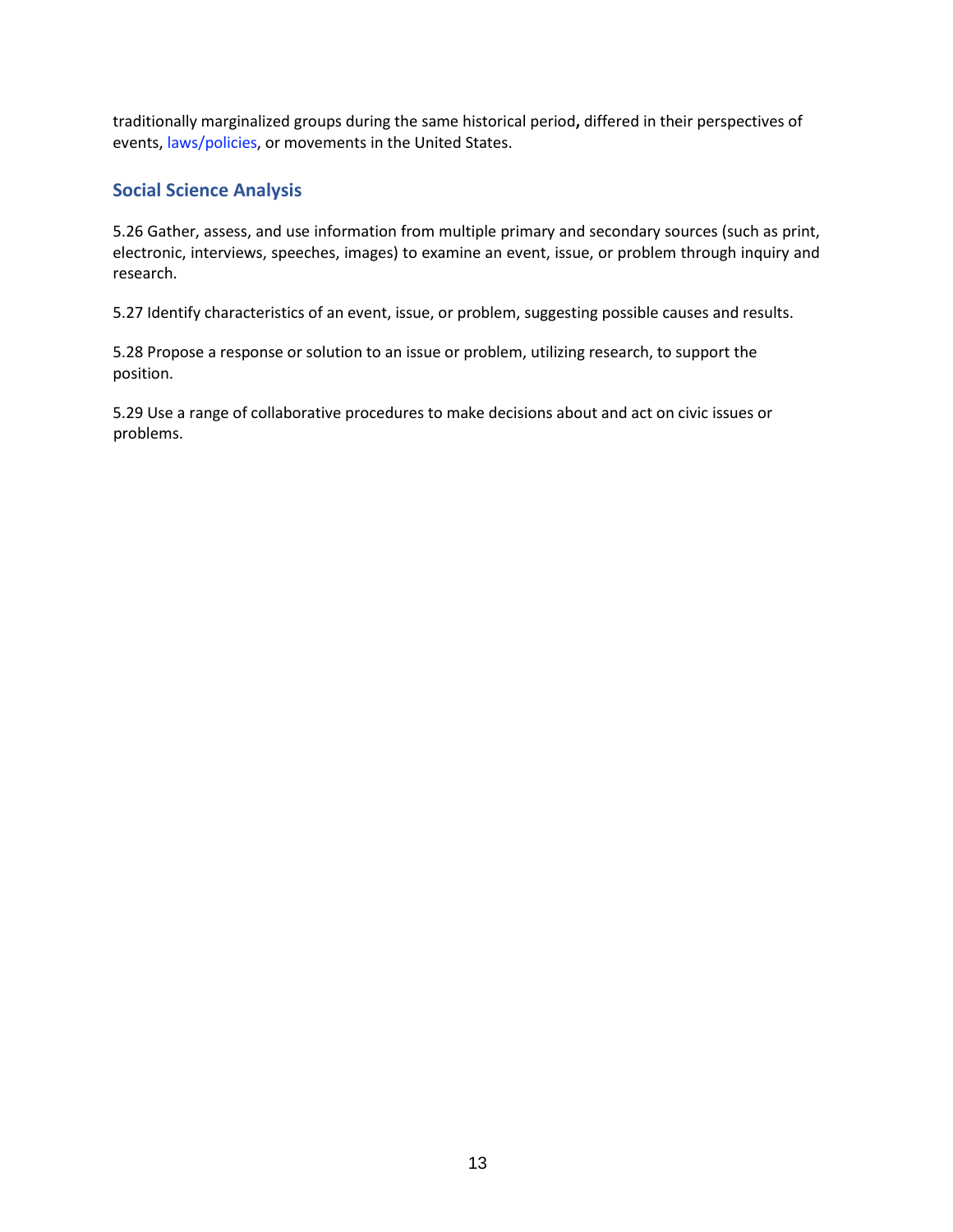traditionally marginalized groups during the same historical period**,** differed in their perspectives of events, laws/policies, or movements in the United States.

#### **Social Science Analysis**

5.26 Gather, assess, and use information from multiple primary and secondary sources (such as print, electronic, interviews, speeches, images) to examine an event, issue, or problem through inquiry and research.

5.27 Identify characteristics of an event, issue, or problem, suggesting possible causes and results.

5.28 Propose a response or solution to an issue or problem, utilizing research, to support the position.

5.29 Use a range of collaborative procedures to make decisions about and act on civic issues or problems.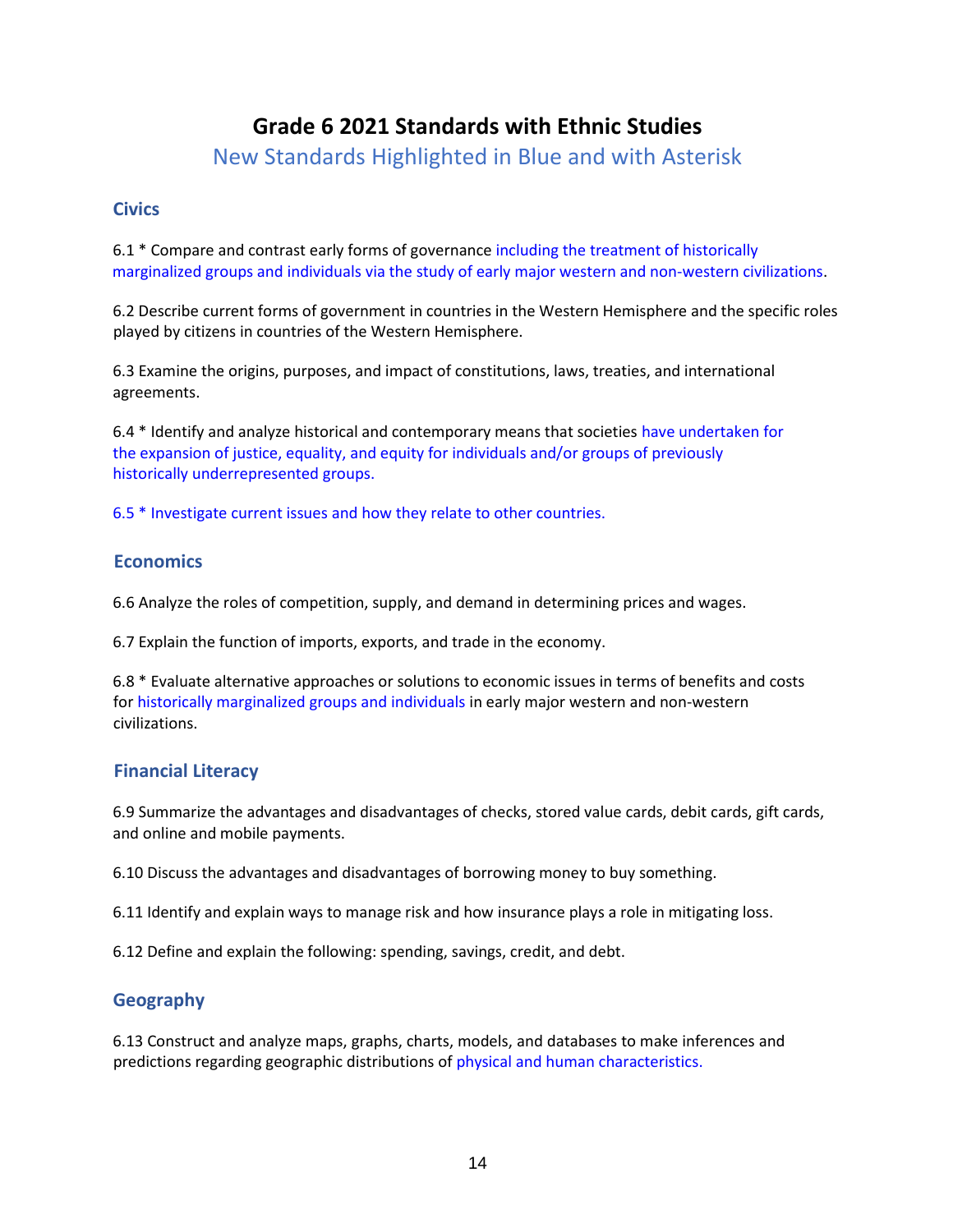## **Grade 6 2021 Standards with Ethnic Studies**

New Standards Highlighted in Blue and with Asterisk

#### **Civics**

6.1 \* Compare and contrast early forms of governance including the treatment of historically marginalized groups and individuals via the study of early major western and non-western civilizations.

6.2 Describe current forms of government in countries in the Western Hemisphere and the specific roles played by citizens in countries of the Western Hemisphere.

6.3 Examine the origins, purposes, and impact of constitutions, laws, treaties, and international agreements.

6.4 \* Identify and analyze historical and contemporary means that societies have undertaken for the expansion of justice, equality, and equity for individuals and/or groups of previously historically underrepresented groups.

6.5 \* Investigate current issues and how they relate to other countries.

#### **Economics**

6.6 Analyze the roles of competition, supply, and demand in determining prices and wages.

6.7 Explain the function of imports, exports, and trade in the economy.

6.8 \* Evaluate alternative approaches or solutions to economic issues in terms of benefits and costs for historically marginalized groups and individuals in early major western and non-western civilizations.

#### **Financial Literacy**

6.9 Summarize the advantages and disadvantages of checks, stored value cards, debit cards, gift cards, and online and mobile payments.

6.10 Discuss the advantages and disadvantages of borrowing money to buy something.

6.11 Identify and explain ways to manage risk and how insurance plays a role in mitigating loss.

6.12 Define and explain the following: spending, savings, credit, and debt.

### **Geography**

6.13 Construct and analyze maps, graphs, charts, models, and databases to make inferences and predictions regarding geographic distributions of physical and human characteristics.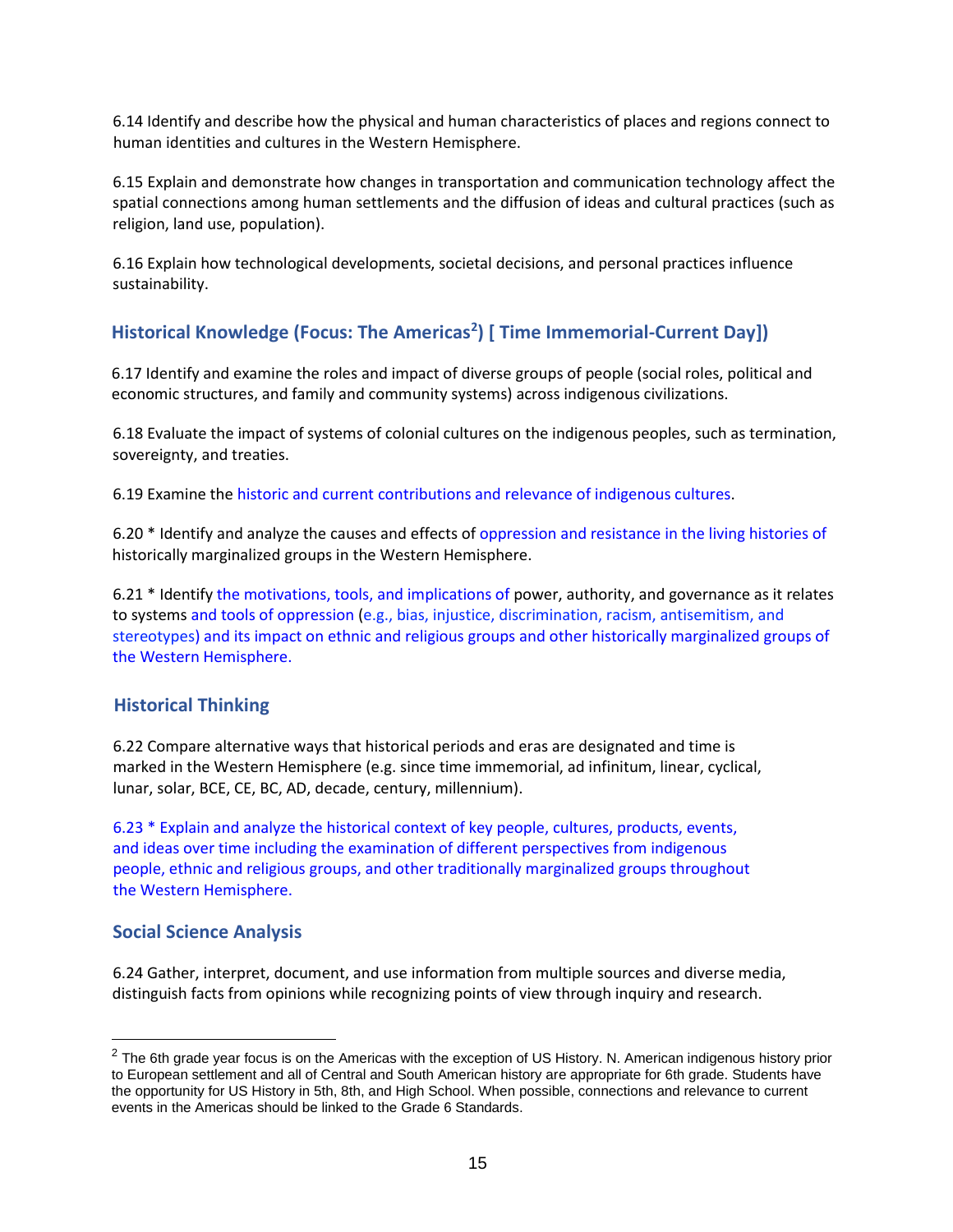6.14 Identify and describe how the physical and human characteristics of places and regions connect to human identities and cultures in the Western Hemisphere.

6.15 Explain and demonstrate how changes in transportation and communication technology affect the spatial connections among human settlements and the diffusion of ideas and cultural practices (such as religion, land use, population).

6.16 Explain how technological developments, societal decisions, and personal practices influence sustainability.

## **Historical Knowledge (Focus: The Americas<sup>2</sup> ) [ Time Immemorial-Current Day])**

6.17 Identify and examine the roles and impact of diverse groups of people (social roles, political and economic structures, and family and community systems) across indigenous civilizations.

6.18 Evaluate the impact of systems of colonial cultures on the indigenous peoples, such as termination, sovereignty, and treaties.

6.19 Examine the historic and current contributions and relevance of indigenous cultures.

6.20 \* Identify and analyze the causes and effects of oppression and resistance in the living histories of historically marginalized groups in the Western Hemisphere.

6.21 \* Identify the motivations, tools, and implications of power, authority, and governance as it relates to systems and tools of oppression (e.g., bias, injustice, discrimination, racism, antisemitism, and stereotypes) and its impact on ethnic and religious groups and other historically marginalized groups of the Western Hemisphere.

#### **Historical Thinking**

6.22 Compare alternative ways that historical periods and eras are designated and time is marked in the Western Hemisphere (e.g. since time immemorial, ad infinitum, linear, cyclical, lunar, solar, BCE, CE, BC, AD, decade, century, millennium).

6.23 \* Explain and analyze the historical context of key people, cultures, products, events, and ideas over time including the examination of different perspectives from indigenous people, ethnic and religious groups, and other traditionally marginalized groups throughout the Western Hemisphere.

#### **Social Science Analysis**

6.24 Gather, interpret, document, and use information from multiple sources and diverse media, distinguish facts from opinions while recognizing points of view through inquiry and research.

 $2$  The 6th grade year focus is on the Americas with the exception of US History. N. American indigenous history prior to European settlement and all of Central and South American history are appropriate for 6th grade. Students have the opportunity for US History in 5th, 8th, and High School. When possible, connections and relevance to current events in the Americas should be linked to the Grade 6 Standards.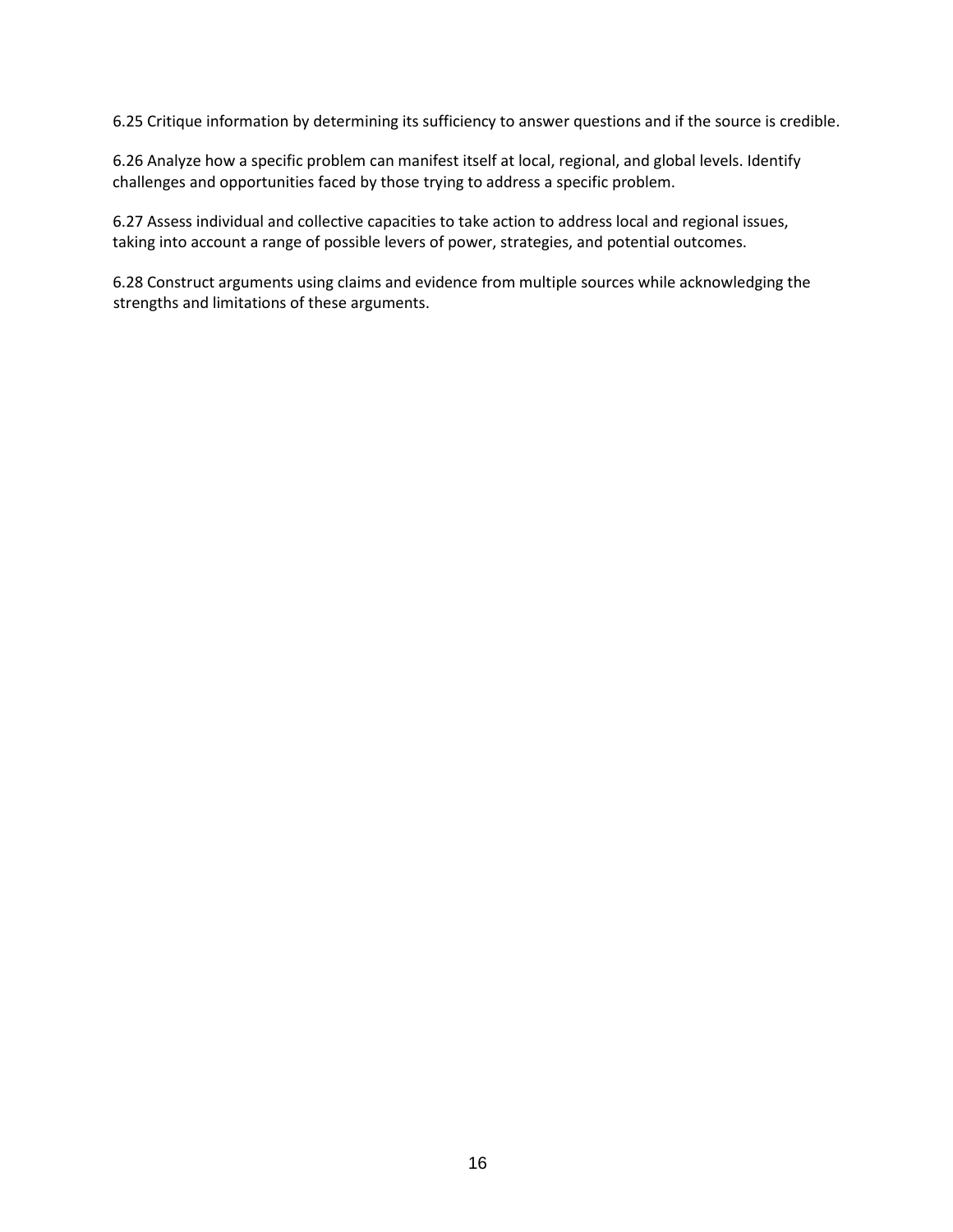6.25 Critique information by determining its sufficiency to answer questions and if the source is credible.

6.26 Analyze how a specific problem can manifest itself at local, regional, and global levels. Identify challenges and opportunities faced by those trying to address a specific problem.

6.27 Assess individual and collective capacities to take action to address local and regional issues, taking into account a range of possible levers of power, strategies, and potential outcomes.

6.28 Construct arguments using claims and evidence from multiple sources while acknowledging the strengths and limitations of these arguments.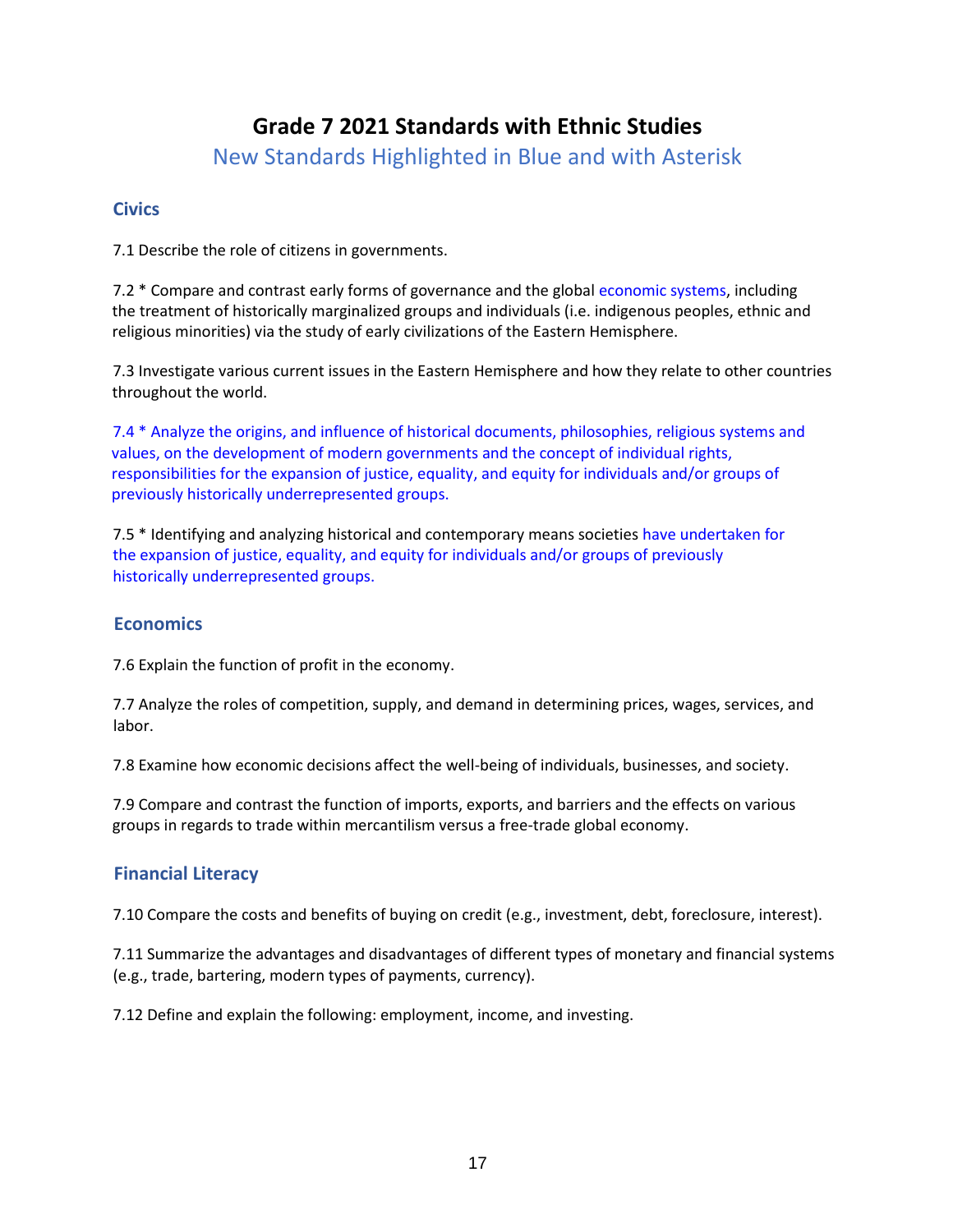## **Grade 7 2021 Standards with Ethnic Studies**

New Standards Highlighted in Blue and with Asterisk

#### **Civics**

7.1 Describe the role of citizens in governments.

7.2 \* Compare and contrast early forms of governance and the global economic systems, including the treatment of historically marginalized groups and individuals (i.e. indigenous peoples, ethnic and religious minorities) via the study of early civilizations of the Eastern Hemisphere.

7.3 Investigate various current issues in the Eastern Hemisphere and how they relate to other countries throughout the world.

7.4 \* Analyze the origins, and influence of historical documents, philosophies, religious systems and values, on the development of modern governments and the concept of individual rights, responsibilities for the expansion of justice, equality, and equity for individuals and/or groups of previously historically underrepresented groups.

7.5 \* Identifying and analyzing historical and contemporary means societies have undertaken for the expansion of justice, equality, and equity for individuals and/or groups of previously historically underrepresented groups.

#### **Economics**

7.6 Explain the function of profit in the economy.

7.7 Analyze the roles of competition, supply, and demand in determining prices, wages, services, and labor.

7.8 Examine how economic decisions affect the well-being of individuals, businesses, and society.

7.9 Compare and contrast the function of imports, exports, and barriers and the effects on various groups in regards to trade within mercantilism versus a free-trade global economy.

#### **Financial Literacy**

7.10 Compare the costs and benefits of buying on credit (e.g., investment, debt, foreclosure, interest).

7.11 Summarize the advantages and disadvantages of different types of monetary and financial systems (e.g., trade, bartering, modern types of payments, currency).

7.12 Define and explain the following: employment, income, and investing.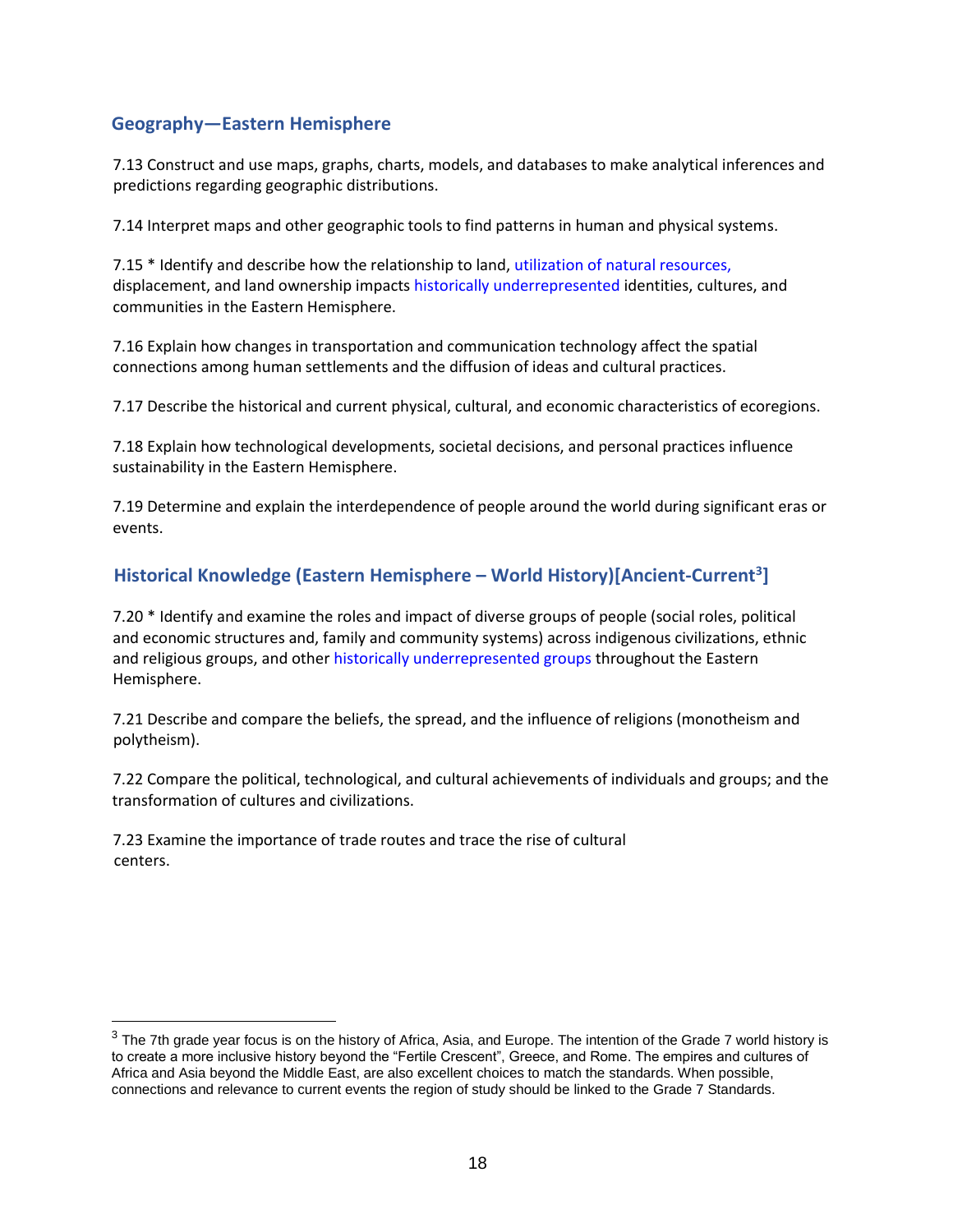#### **Geography—Eastern Hemisphere**

7.13 Construct and use maps, graphs, charts, models, and databases to make analytical inferences and predictions regarding geographic distributions.

7.14 Interpret maps and other geographic tools to find patterns in human and physical systems.

7.15 \* Identify and describe how the relationship to land, utilization of natural resources, displacement, and land ownership impacts historically underrepresented identities, cultures, and communities in the Eastern Hemisphere.

7.16 Explain how changes in transportation and communication technology affect the spatial connections among human settlements and the diffusion of ideas and cultural practices.

7.17 Describe the historical and current physical, cultural, and economic characteristics of ecoregions.

7.18 Explain how technological developments, societal decisions, and personal practices influence sustainability in the Eastern Hemisphere.

7.19 Determine and explain the interdependence of people around the world during significant eras or events.

## **Historical Knowledge (Eastern Hemisphere – World History)[Ancient-Current<sup>3</sup> ]**

7.20 \* Identify and examine the roles and impact of diverse groups of people (social roles, political and economic structures and, family and community systems) across indigenous civilizations, ethnic and religious groups, and other historically underrepresented groups throughout the Eastern Hemisphere.

7.21 Describe and compare the beliefs, the spread, and the influence of religions (monotheism and polytheism).

7.22 Compare the political, technological, and cultural achievements of individuals and groups; and the transformation of cultures and civilizations.

7.23 Examine the importance of trade routes and trace the rise of cultural centers.

 $3$  The 7th grade year focus is on the history of Africa, Asia, and Europe. The intention of the Grade 7 world history is to create a more inclusive history beyond the "Fertile Crescent", Greece, and Rome. The empires and cultures of Africa and Asia beyond the Middle East, are also excellent choices to match the standards. When possible, connections and relevance to current events the region of study should be linked to the Grade 7 Standards.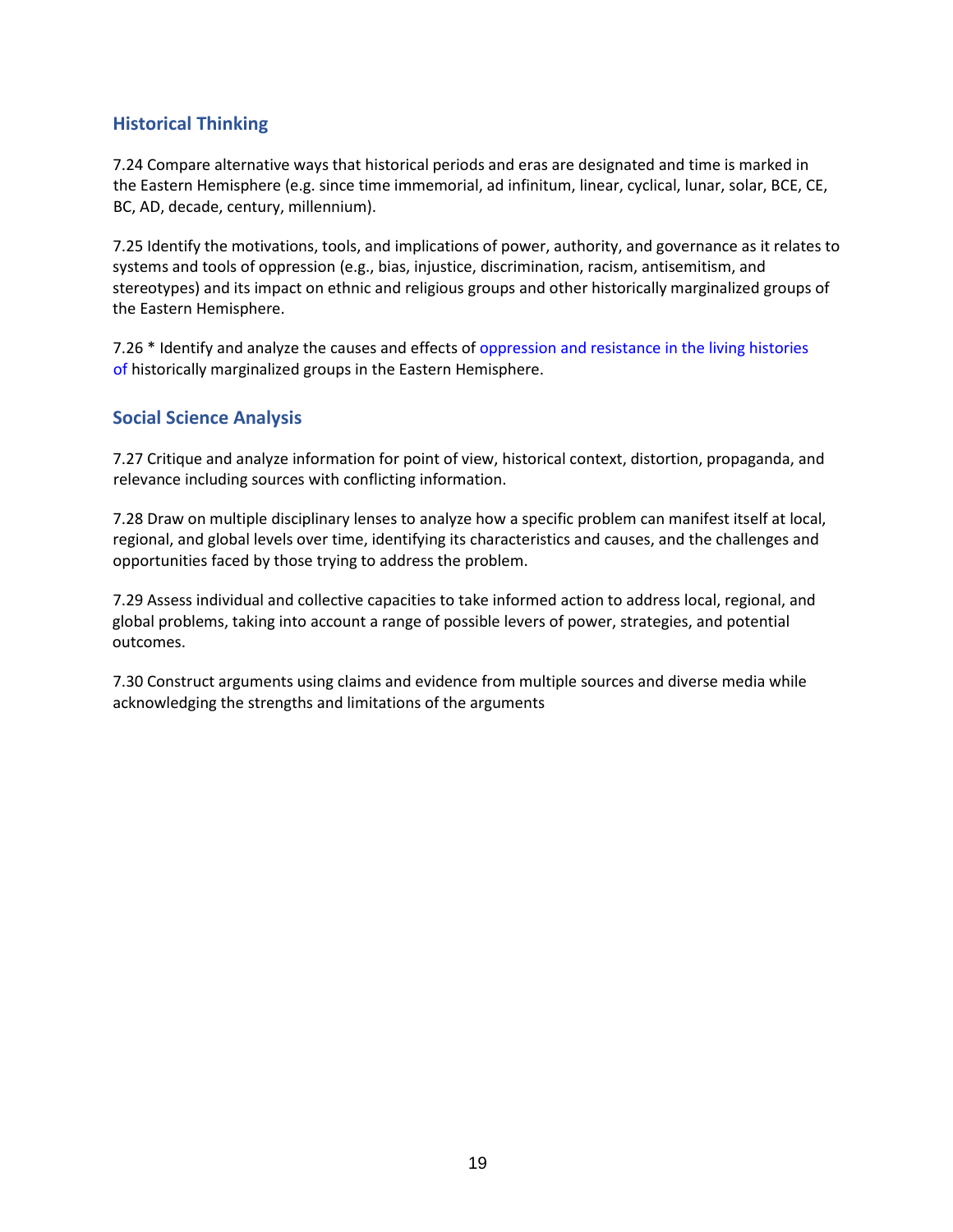#### **Historical Thinking**

7.24 Compare alternative ways that historical periods and eras are designated and time is marked in the Eastern Hemisphere (e.g. since time immemorial, ad infinitum, linear, cyclical, lunar, solar, BCE, CE, BC, AD, decade, century, millennium).

7.25 Identify the motivations, tools, and implications of power, authority, and governance as it relates to systems and tools of oppression (e.g., bias, injustice, discrimination, racism, antisemitism, and stereotypes) and its impact on ethnic and religious groups and other historically marginalized groups of the Eastern Hemisphere.

7.26 \* Identify and analyze the causes and effects of oppression and resistance in the living histories of historically marginalized groups in the Eastern Hemisphere.

#### **Social Science Analysis**

7.27 Critique and analyze information for point of view, historical context, distortion, propaganda, and relevance including sources with conflicting information.

7.28 Draw on multiple disciplinary lenses to analyze how a specific problem can manifest itself at local, regional, and global levels over time, identifying its characteristics and causes, and the challenges and opportunities faced by those trying to address the problem.

7.29 Assess individual and collective capacities to take informed action to address local, regional, and global problems, taking into account a range of possible levers of power, strategies, and potential outcomes.

7.30 Construct arguments using claims and evidence from multiple sources and diverse media while acknowledging the strengths and limitations of the arguments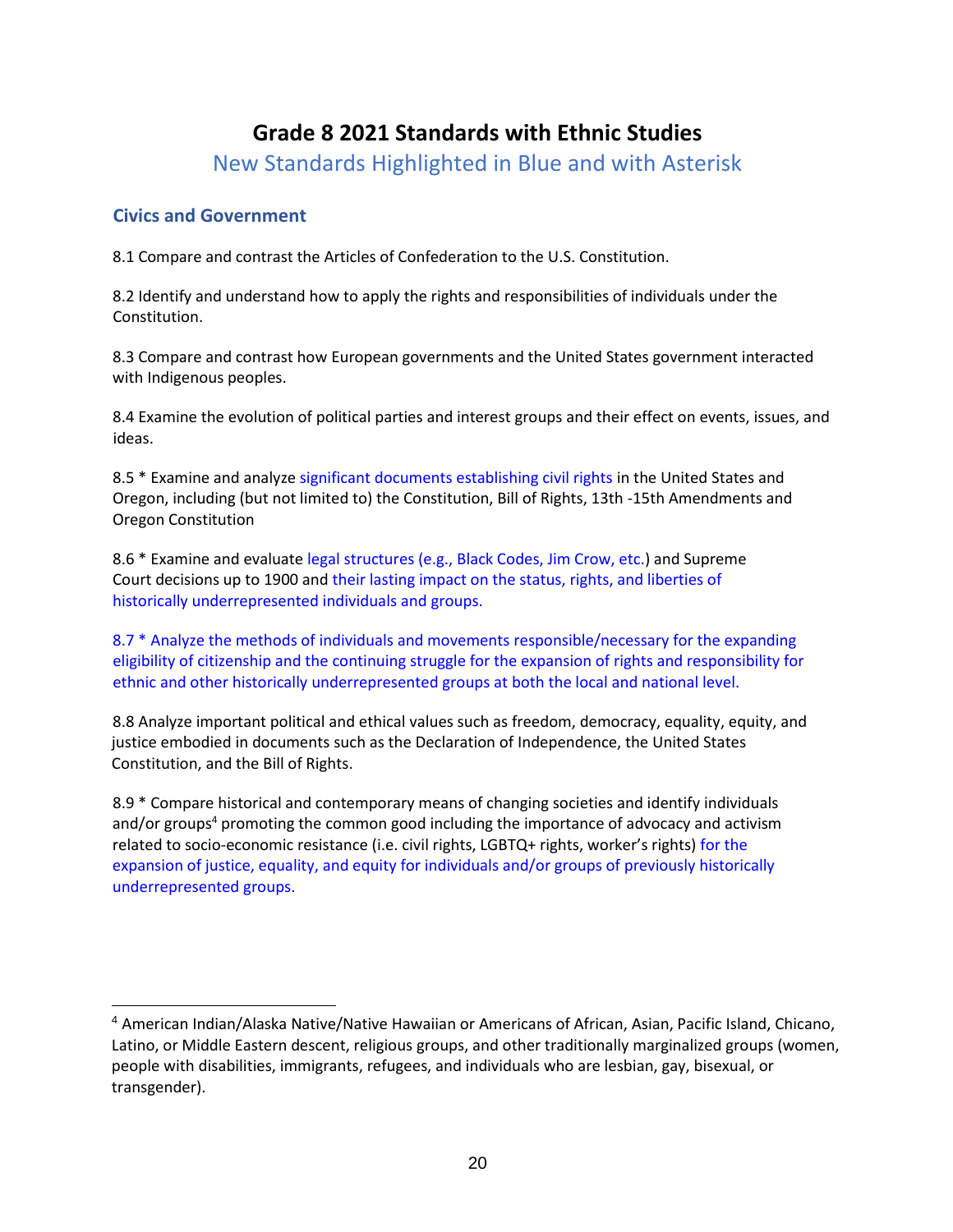## **Grade 8 2021 Standards with Ethnic Studies**

New Standards Highlighted in Blue and with Asterisk

#### **Civics and Government**

8.1 Compare and contrast the Articles of Confederation to the U.S. Constitution.

8.2 Identify and understand how to apply the rights and responsibilities of individuals under the Constitution.

8.3 Compare and contrast how European governments and the United States government interacted with Indigenous peoples.

8.4 Examine the evolution of political parties and interest groups and their effect on events, issues, and ideas.

8.5 \* Examine and analyze significant documents establishing civil rights in the United States and Oregon, including (but not limited to) the Constitution, Bill of Rights, 13th -15th Amendments and Oregon Constitution

8.6 \* Examine and evaluate legal structures (e.g., Black Codes, Jim Crow, etc.) and Supreme Court decisions up to 1900 and their lasting impact on the status, rights, and liberties of historically underrepresented individuals and groups.

8.7 \* Analyze the methods of individuals and movements responsible/necessary for the expanding eligibility of citizenship and the continuing struggle for the expansion of rights and responsibility for ethnic and other historically underrepresented groups at both the local and national level.

8.8 Analyze important political and ethical values such as freedom, democracy, equality, equity, and justice embodied in documents such as the Declaration of Independence, the United States Constitution, and the Bill of Rights.

8.9 \* Compare historical and contemporary means of changing societies and identify individuals and/or groups<sup>4</sup> promoting the common good including the importance of advocacy and activism related to socio-economic resistance (i.e. civil rights, LGBTQ+ rights, worker's rights) for the expansion of justice, equality, and equity for individuals and/or groups of previously historically underrepresented groups.

<sup>4</sup> American Indian/Alaska Native/Native Hawaiian or Americans of African, Asian, Pacific Island, Chicano, Latino, or Middle Eastern descent, religious groups, and other traditionally marginalized groups (women, people with disabilities, immigrants, refugees, and individuals who are lesbian, gay, bisexual, or transgender).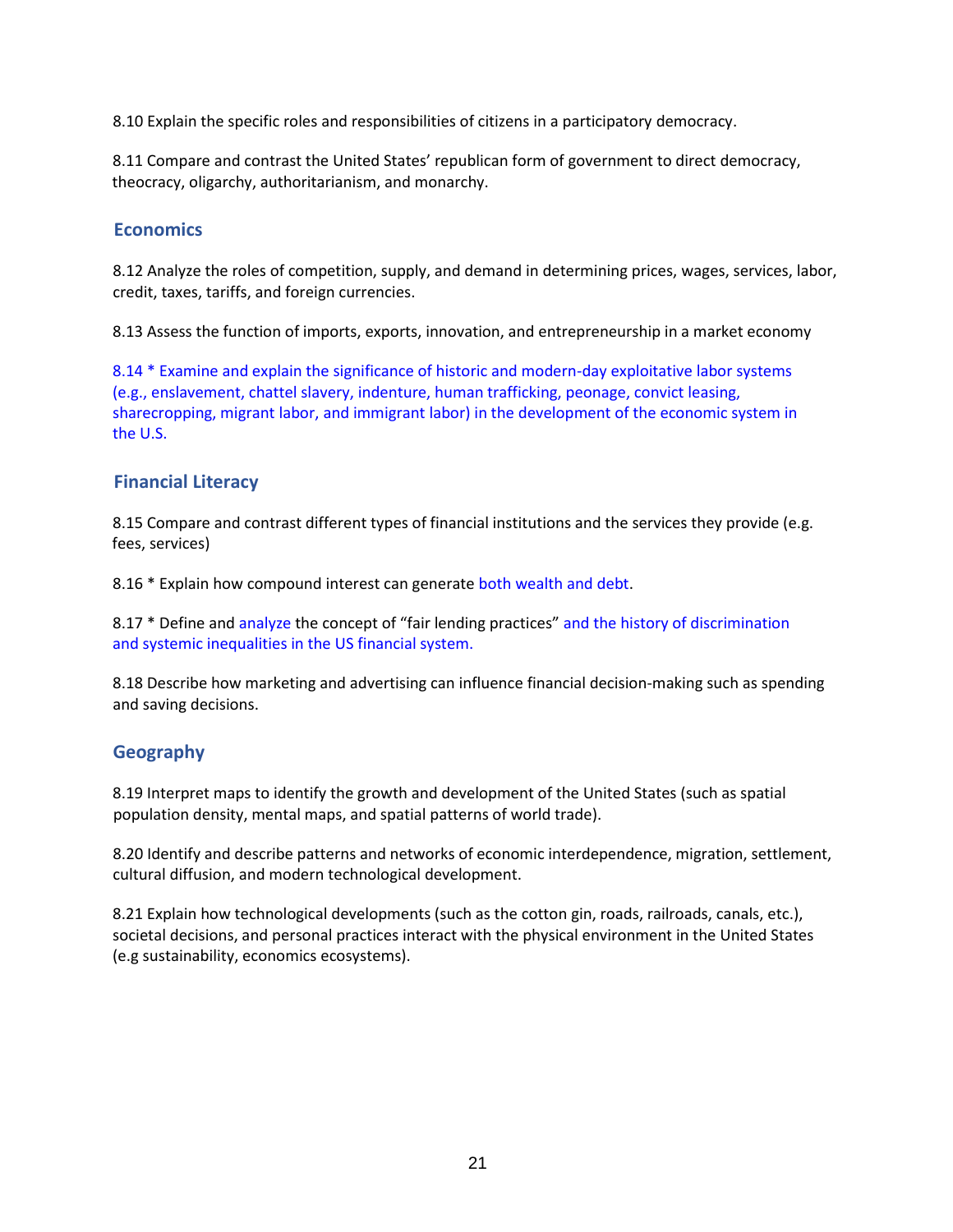8.10 Explain the specific roles and responsibilities of citizens in a participatory democracy.

8.11 Compare and contrast the United States' republican form of government to direct democracy, theocracy, oligarchy, authoritarianism, and monarchy.

#### **Economics**

8.12 Analyze the roles of competition, supply, and demand in determining prices, wages, services, labor, credit, taxes, tariffs, and foreign currencies.

8.13 Assess the function of imports, exports, innovation, and entrepreneurship in a market economy

8.14 \* Examine and explain the significance of historic and modern-day exploitative labor systems (e.g., enslavement, chattel slavery, indenture, human trafficking, peonage, convict leasing, sharecropping, migrant labor, and immigrant labor) in the development of the economic system in the U.S.

#### **Financial Literacy**

8.15 Compare and contrast different types of financial institutions and the services they provide (e.g. fees, services)

8.16 \* Explain how compound interest can generate both wealth and debt.

8.17 \* Define and analyze the concept of "fair lending practices" and the history of discrimination and systemic inequalities in the US financial system.

8.18 Describe how marketing and advertising can influence financial decision-making such as spending and saving decisions.

#### **Geography**

8.19 Interpret maps to identify the growth and development of the United States (such as spatial population density, mental maps, and spatial patterns of world trade).

8.20 Identify and describe patterns and networks of economic interdependence, migration, settlement, cultural diffusion, and modern technological development.

8.21 Explain how technological developments (such as the cotton gin, roads, railroads, canals, etc.), societal decisions, and personal practices interact with the physical environment in the United States (e.g sustainability, economics ecosystems).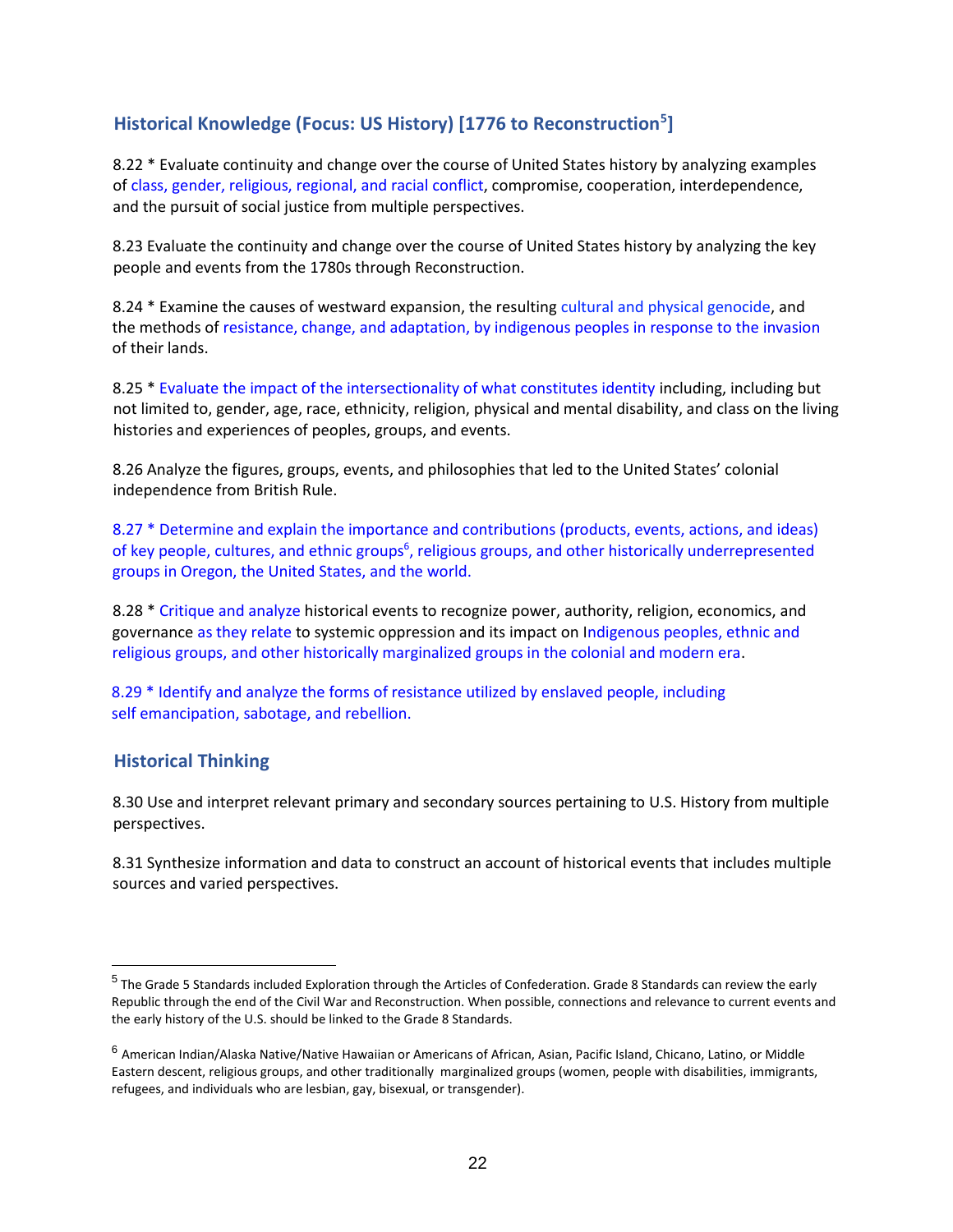## **Historical Knowledge (Focus: US History) [1776 to Reconstruction<sup>5</sup> ]**

8.22 \* Evaluate continuity and change over the course of United States history by analyzing examples of class, gender, religious, regional, and racial conflict, compromise, cooperation, interdependence, and the pursuit of social justice from multiple perspectives.

8.23 Evaluate the continuity and change over the course of United States history by analyzing the key people and events from the 1780s through Reconstruction.

8.24 \* Examine the causes of westward expansion, the resulting cultural and physical genocide, and the methods of resistance, change, and adaptation, by indigenous peoples in response to the invasion of their lands.

8.25 \* Evaluate the impact of the intersectionality of what constitutes identity including, including but not limited to, gender, age, race, ethnicity, religion, physical and mental disability, and class on the living histories and experiences of peoples, groups, and events.

8.26 Analyze the figures, groups, events, and philosophies that led to the United States' colonial independence from British Rule.

8.27 \* Determine and explain the importance and contributions (products, events, actions, and ideas) of key people, cultures, and ethnic groups<sup>6</sup>, religious groups, and other historically underrepresented groups in Oregon, the United States, and the world.

8.28 \* Critique and analyze historical events to recognize power, authority, religion, economics, and governance as they relate to systemic oppression and its impact on Indigenous peoples, ethnic and religious groups, and other historically marginalized groups in the colonial and modern era.

8.29 \* Identify and analyze the forms of resistance utilized by enslaved people, including self emancipation, sabotage, and rebellion.

#### **Historical Thinking**

 $\overline{a}$ 

8.30 Use and interpret relevant primary and secondary sources pertaining to U.S. History from multiple perspectives.

8.31 Synthesize information and data to construct an account of historical events that includes multiple sources and varied perspectives.

<sup>&</sup>lt;sup>5</sup> The Grade 5 Standards included Exploration through the Articles of Confederation. Grade 8 Standards can review the early Republic through the end of the Civil War and Reconstruction. When possible, connections and relevance to current events and the early history of the U.S. should be linked to the Grade 8 Standards.

<sup>&</sup>lt;sup>6</sup> American Indian/Alaska Native/Native Hawaiian or Americans of African, Asian, Pacific Island, Chicano, Latino, or Middle Eastern descent, religious groups, and other traditionally marginalized groups (women, people with disabilities, immigrants, refugees, and individuals who are lesbian, gay, bisexual, or transgender).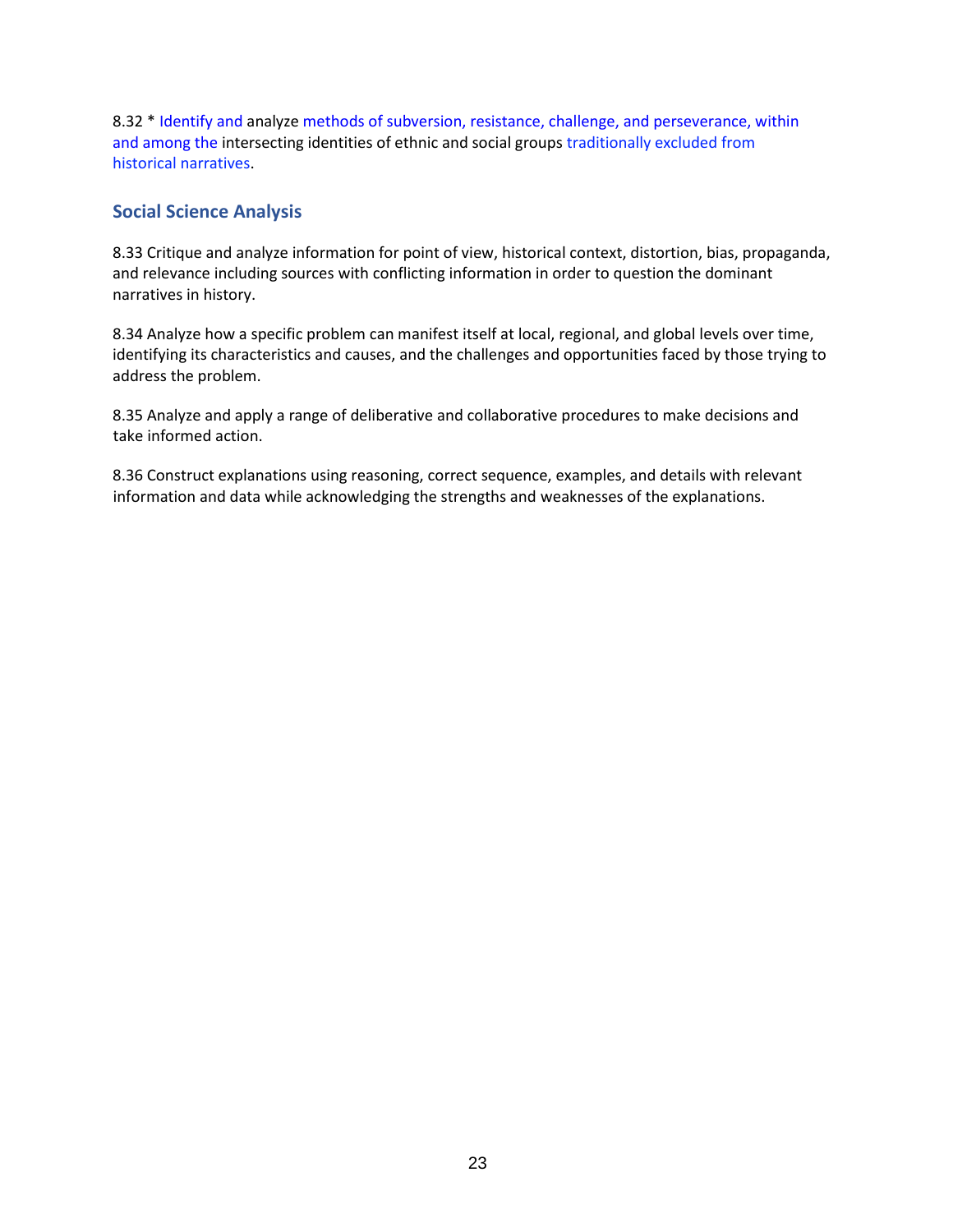8.32 \* Identify and analyze methods of subversion, resistance, challenge, and perseverance, within and among the intersecting identities of ethnic and social groups traditionally excluded from historical narratives.

#### **Social Science Analysis**

8.33 Critique and analyze information for point of view, historical context, distortion, bias, propaganda, and relevance including sources with conflicting information in order to question the dominant narratives in history.

8.34 Analyze how a specific problem can manifest itself at local, regional, and global levels over time, identifying its characteristics and causes, and the challenges and opportunities faced by those trying to address the problem.

8.35 Analyze and apply a range of deliberative and collaborative procedures to make decisions and take informed action.

8.36 Construct explanations using reasoning, correct sequence, examples, and details with relevant information and data while acknowledging the strengths and weaknesses of the explanations.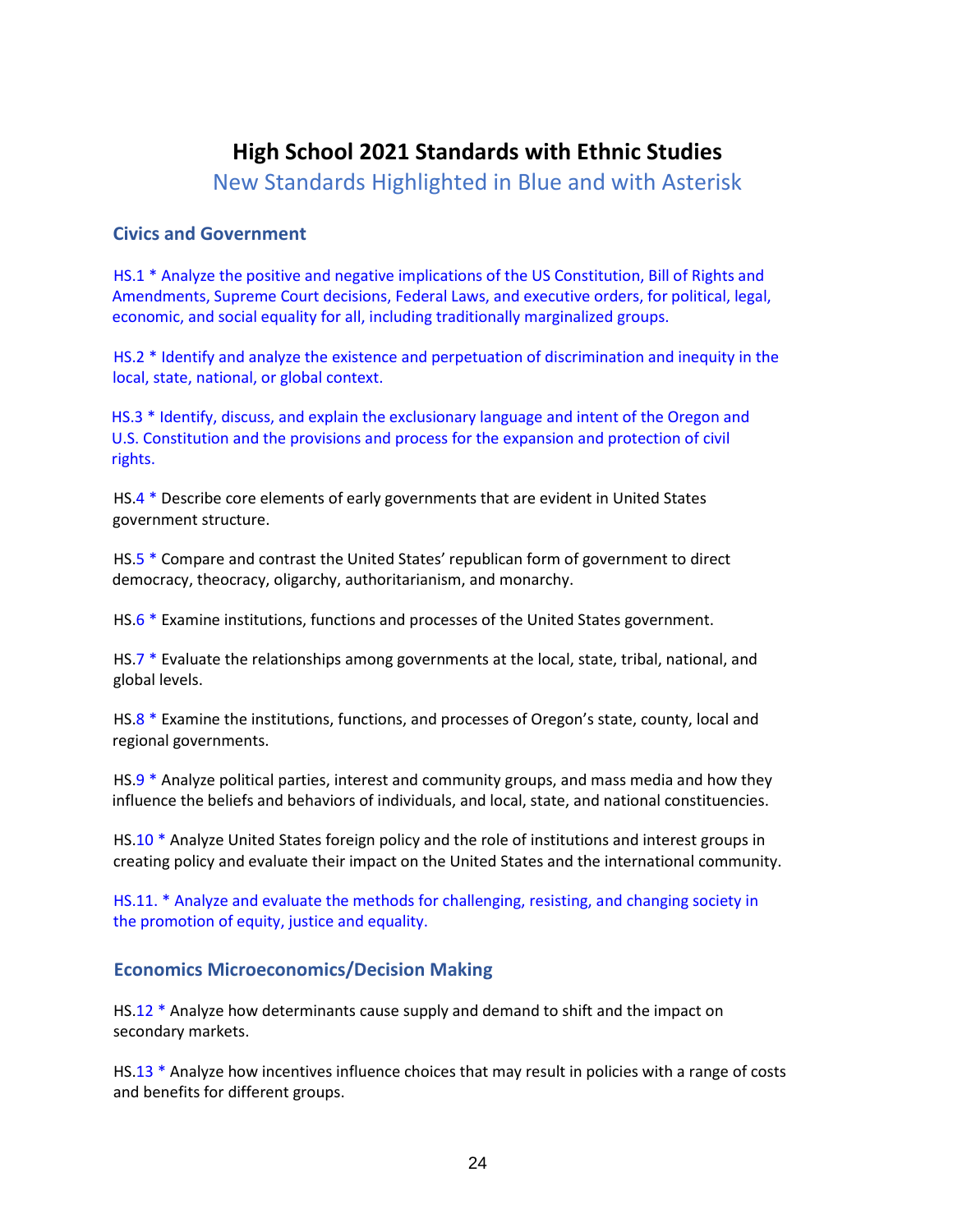## **High School 2021 Standards with Ethnic Studies**

New Standards Highlighted in Blue and with Asterisk

#### **Civics and Government**

HS.1 \* Analyze the positive and negative implications of the US Constitution, Bill of Rights and Amendments, Supreme Court decisions, Federal Laws, and executive orders, for political, legal, economic, and social equality for all, including traditionally marginalized groups.

HS.2 \* Identify and analyze the existence and perpetuation of discrimination and inequity in the local, state, national, or global context.

HS.3 \* Identify, discuss, and explain the exclusionary language and intent of the Oregon and U.S. Constitution and the provisions and process for the expansion and protection of civil rights.

HS.4 \* Describe core elements of early governments that are evident in United States government structure.

HS.5 \* Compare and contrast the United States' republican form of government to direct democracy, theocracy, oligarchy, authoritarianism, and monarchy.

HS.6 \* Examine institutions, functions and processes of the United States government.

HS.7 \* Evaluate the relationships among governments at the local, state, tribal, national, and global levels.

HS.8 \* Examine the institutions, functions, and processes of Oregon's state, county, local and regional governments.

HS.9  $*$  Analyze political parties, interest and community groups, and mass media and how they influence the beliefs and behaviors of individuals, and local, state, and national constituencies.

HS.10 \* Analyze United States foreign policy and the role of institutions and interest groups in creating policy and evaluate their impact on the United States and the international community.

HS.11. \* Analyze and evaluate the methods for challenging, resisting, and changing society in the promotion of equity, justice and equality.

#### **Economics Microeconomics/Decision Making**

HS.12 \* Analyze how determinants cause supply and demand to shift and the impact on secondary markets.

HS.13 \* Analyze how incentives influence choices that may result in policies with a range of costs and benefits for different groups.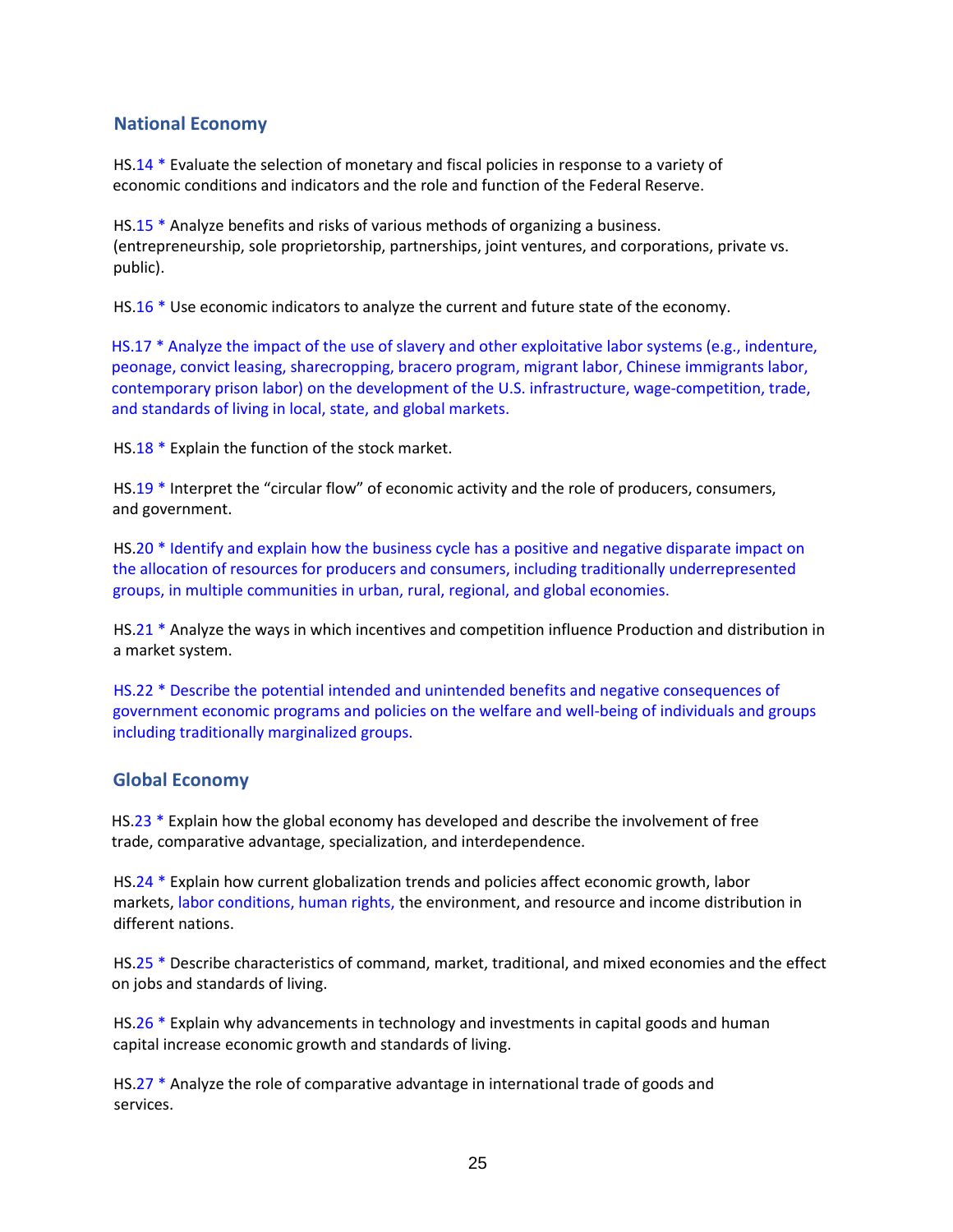#### **National Economy**

HS.14 \* Evaluate the selection of monetary and fiscal policies in response to a variety of economic conditions and indicators and the role and function of the Federal Reserve.

HS.15 \* Analyze benefits and risks of various methods of organizing a business. (entrepreneurship, sole proprietorship, partnerships, joint ventures, and corporations, private vs. public).

HS.16 \* Use economic indicators to analyze the current and future state of the economy.

HS.17 \* Analyze the impact of the use of slavery and other exploitative labor systems (e.g., indenture, peonage, convict leasing, sharecropping, bracero program, migrant labor, Chinese immigrants labor, contemporary prison labor) on the development of the U.S. infrastructure, wage-competition, trade, and standards of living in local, state, and global markets.

HS.18 \* Explain the function of the stock market.

HS.19 \* Interpret the "circular flow" of economic activity and the role of producers, consumers, and government.

HS.20 \* Identify and explain how the business cycle has a positive and negative disparate impact on the allocation of resources for producers and consumers, including traditionally underrepresented groups, in multiple communities in urban, rural, regional, and global economies.

HS.21 \* Analyze the ways in which incentives and competition influence Production and distribution in a market system.

HS.22 \* Describe the potential intended and unintended benefits and negative consequences of government economic programs and policies on the welfare and well-being of individuals and groups including traditionally marginalized groups.

#### **Global Economy**

HS.23 \* Explain how the global economy has developed and describe the involvement of free trade, comparative advantage, specialization, and interdependence.

HS.24 \* Explain how current globalization trends and policies affect economic growth, labor markets, labor conditions, human rights, the environment, and resource and income distribution in different nations.

HS.25 \* Describe characteristics of command, market, traditional, and mixed economies and the effect on jobs and standards of living.

HS.26 \* Explain why advancements in technology and investments in capital goods and human capital increase economic growth and standards of living.

HS.27 \* Analyze the role of comparative advantage in international trade of goods and services.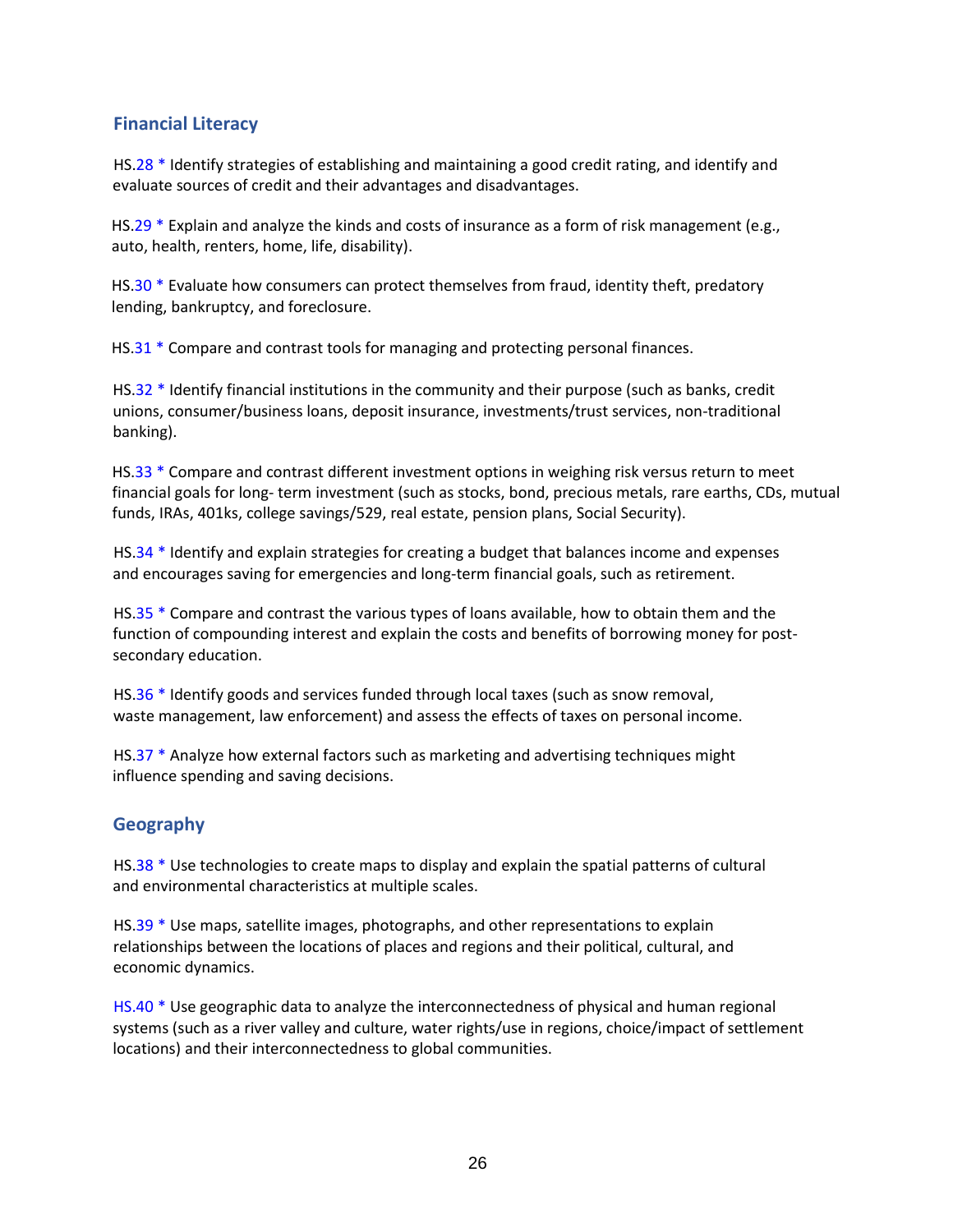### **Financial Literacy**

HS.28 \* Identify strategies of establishing and maintaining a good credit rating, and identify and evaluate sources of credit and their advantages and disadvantages.

HS.29 \* Explain and analyze the kinds and costs of insurance as a form of risk management (e.g., auto, health, renters, home, life, disability).

HS.30 \* Evaluate how consumers can protect themselves from fraud, identity theft, predatory lending, bankruptcy, and foreclosure.

HS.31 \* Compare and contrast tools for managing and protecting personal finances.

HS.32 \* Identify financial institutions in the community and their purpose (such as banks, credit unions, consumer/business loans, deposit insurance, investments/trust services, non-traditional banking).

HS.33 \* Compare and contrast different investment options in weighing risk versus return to meet financial goals for long- term investment (such as stocks, bond, precious metals, rare earths, CDs, mutual funds, IRAs, 401ks, college savings/529, real estate, pension plans, Social Security).

HS.34 \* Identify and explain strategies for creating a budget that balances income and expenses and encourages saving for emergencies and long-term financial goals, such as retirement.

HS.35  $*$  Compare and contrast the various types of loans available, how to obtain them and the function of compounding interest and explain the costs and benefits of borrowing money for postsecondary education.

HS.36 \* Identify goods and services funded through local taxes (such as snow removal, waste management, law enforcement) and assess the effects of taxes on personal income.

HS.37 \* Analyze how external factors such as marketing and advertising techniques might influence spending and saving decisions.

#### **Geography**

HS.38 \* Use technologies to create maps to display and explain the spatial patterns of cultural and environmental characteristics at multiple scales.

HS.39 \* Use maps, satellite images, photographs, and other representations to explain relationships between the locations of places and regions and their political, cultural, and economic dynamics.

HS.40 \* Use geographic data to analyze the interconnectedness of physical and human regional systems (such as a river valley and culture, water rights/use in regions, choice/impact of settlement locations) and their interconnectedness to global communities.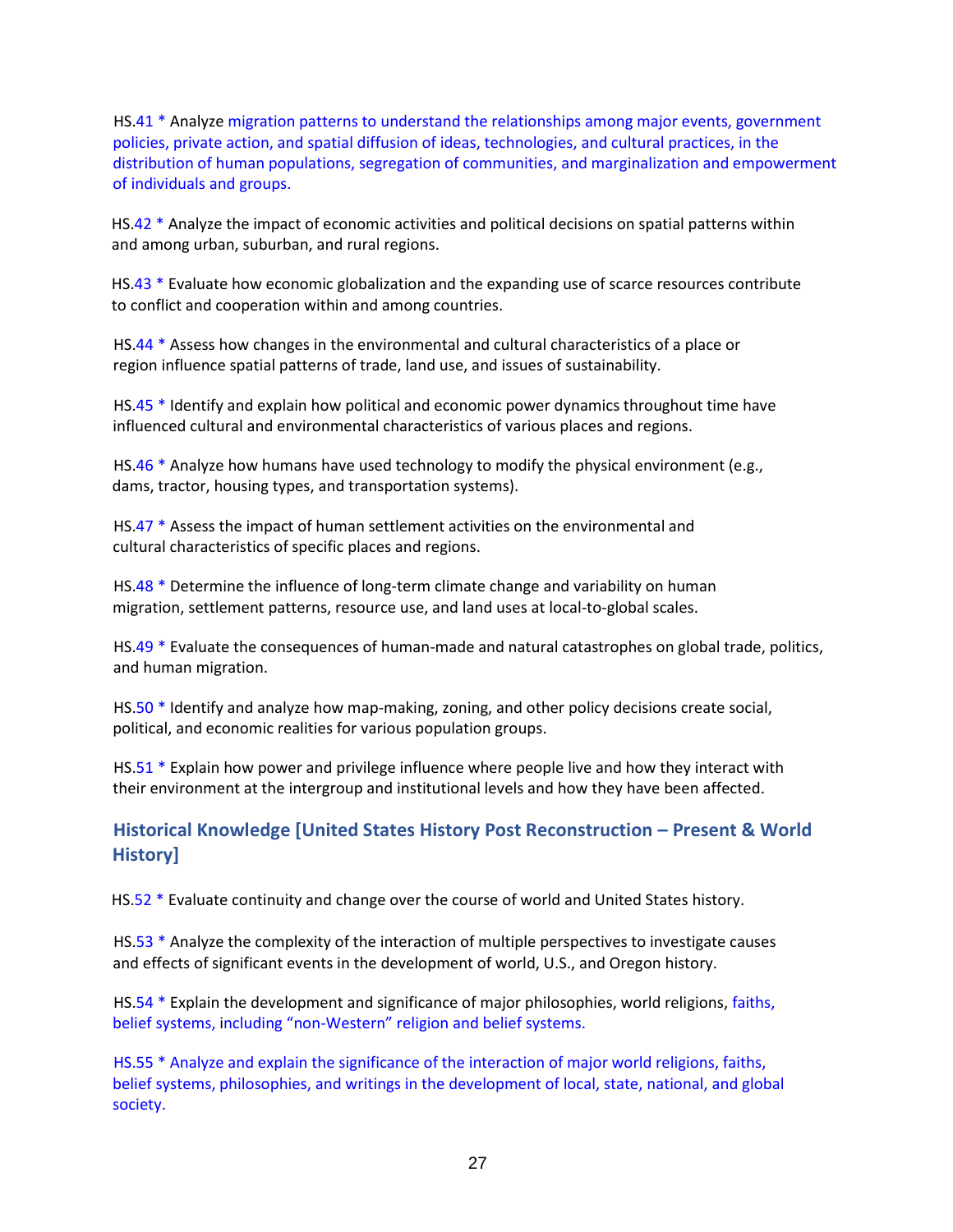HS.41 \* Analyze migration patterns to understand the relationships among major events, government policies, private action, and spatial diffusion of ideas, technologies, and cultural practices, in the distribution of human populations, segregation of communities, and marginalization and empowerment of individuals and groups.

HS.42 \* Analyze the impact of economic activities and political decisions on spatial patterns within and among urban, suburban, and rural regions.

HS.43 \* Evaluate how economic globalization and the expanding use of scarce resources contribute to conflict and cooperation within and among countries.

HS.44 \* Assess how changes in the environmental and cultural characteristics of a place or region influence spatial patterns of trade, land use, and issues of sustainability.

HS.45 \* Identify and explain how political and economic power dynamics throughout time have influenced cultural and environmental characteristics of various places and regions.

HS.46 \* Analyze how humans have used technology to modify the physical environment (e.g., dams, tractor, housing types, and transportation systems).

HS.47 \* Assess the impact of human settlement activities on the environmental and cultural characteristics of specific places and regions.

HS.48 \* Determine the influence of long-term climate change and variability on human migration, settlement patterns, resource use, and land uses at local-to-global scales.

HS.49 \* Evaluate the consequences of human-made and natural catastrophes on global trade, politics, and human migration.

HS.50 \* Identify and analyze how map-making, zoning, and other policy decisions create social, political, and economic realities for various population groups.

HS.51 \* Explain how power and privilege influence where people live and how they interact with their environment at the intergroup and institutional levels and how they have been affected.

### **Historical Knowledge [United States History Post Reconstruction – Present & World History]**

HS.52 \* Evaluate continuity and change over the course of world and United States history.

HS.53 \* Analyze the complexity of the interaction of multiple perspectives to investigate causes and effects of significant events in the development of world, U.S., and Oregon history.

HS.54 \* Explain the development and significance of major philosophies, world religions, faiths, belief systems, including "non-Western" religion and belief systems.

HS.55 \* Analyze and explain the significance of the interaction of major world religions, faiths, belief systems, philosophies, and writings in the development of local, state, national, and global society.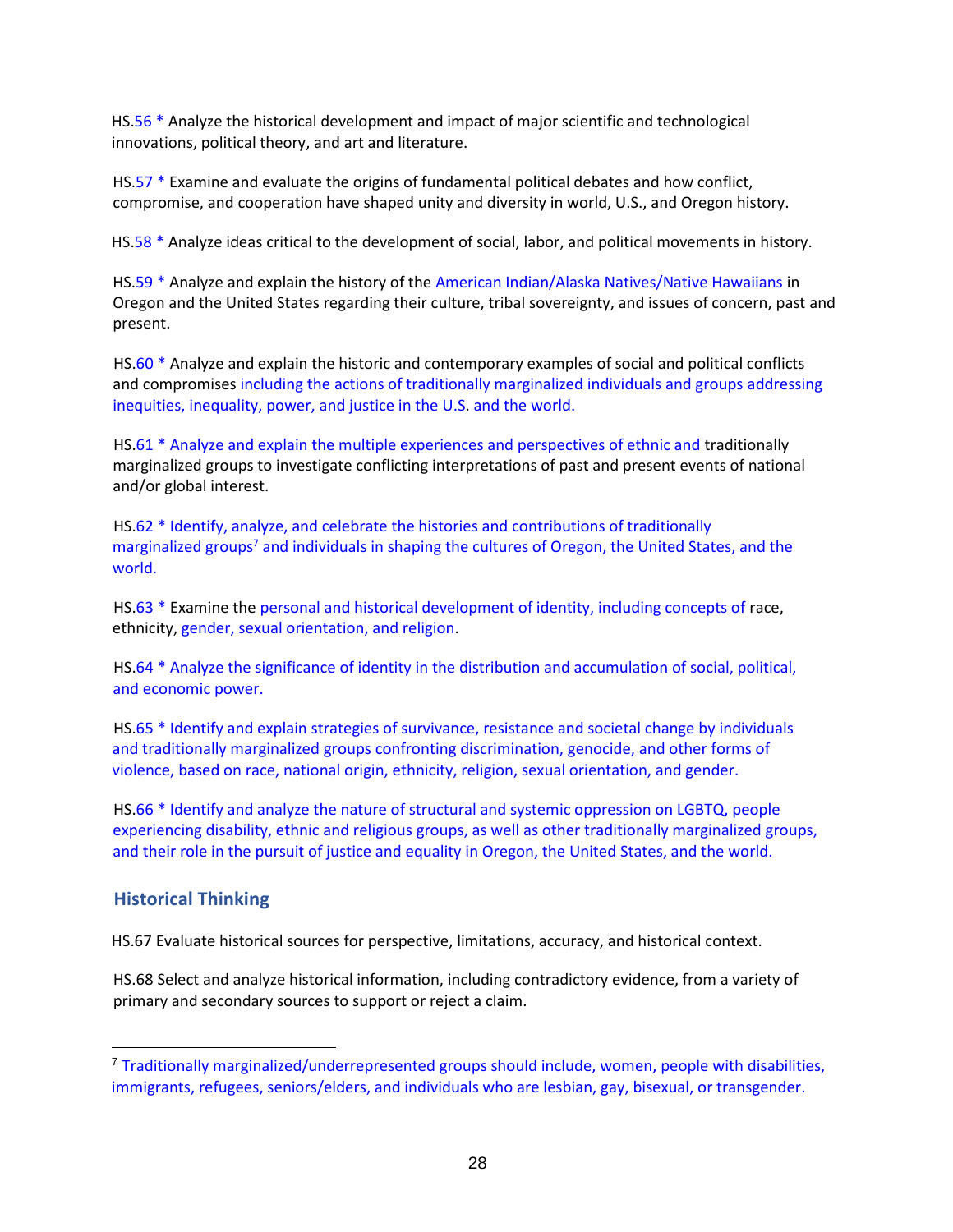HS.56 \* Analyze the historical development and impact of major scientific and technological innovations, political theory, and art and literature.

HS.57 \* Examine and evaluate the origins of fundamental political debates and how conflict, compromise, and cooperation have shaped unity and diversity in world, U.S., and Oregon history.

HS.58 \* Analyze ideas critical to the development of social, labor, and political movements in history.

HS.59 \* Analyze and explain the history of the American Indian/Alaska Natives/Native Hawaiians in Oregon and the United States regarding their culture, tribal sovereignty, and issues of concern, past and present.

HS.60 \* Analyze and explain the historic and contemporary examples of social and political conflicts and compromises including the actions of traditionally marginalized individuals and groups addressing inequities, inequality, power, and justice in the U.S. and the world.

HS.61 \* Analyze and explain the multiple experiences and perspectives of ethnic and traditionally marginalized groups to investigate conflicting interpretations of past and present events of national and/or global interest.

HS.62 \* Identify, analyze, and celebrate the histories and contributions of traditionally marginalized groups<sup>7</sup> and individuals in shaping the cultures of Oregon, the United States, and the world.

HS.63 \* Examine the personal and historical development of identity, including concepts of race, ethnicity, gender, sexual orientation, and religion.

HS.64 \* Analyze the significance of identity in the distribution and accumulation of social, political, and economic power.

HS.65 \* Identify and explain strategies of survivance, resistance and societal change by individuals and traditionally marginalized groups confronting discrimination, genocide, and other forms of violence, based on race, national origin, ethnicity, religion, sexual orientation, and gender.

HS.66 \* Identify and analyze the nature of structural and systemic oppression on LGBTQ, people experiencing disability, ethnic and religious groups, as well as other traditionally marginalized groups, and their role in the pursuit of justice and equality in Oregon, the United States, and the world.

#### **Historical Thinking**

 $\overline{a}$ 

HS.67 Evaluate historical sources for perspective, limitations, accuracy, and historical context.

HS.68 Select and analyze historical information, including contradictory evidence, from a variety of primary and secondary sources to support or reject a claim.

<sup>7</sup> Traditionally marginalized/underrepresented groups should include, women, people with disabilities, immigrants, refugees, seniors/elders, and individuals who are lesbian, gay, bisexual, or transgender.